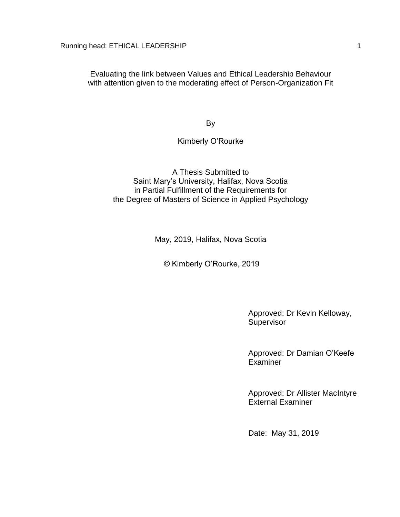Evaluating the link between Values and Ethical Leadership Behaviour with attention given to the moderating effect of Person-Organization Fit

By

#### Kimberly O'Rourke

A Thesis Submitted to Saint Mary's University, Halifax, Nova Scotia in Partial Fulfillment of the Requirements for the Degree of Masters of Science in Applied Psychology

May, 2019, Halifax, Nova Scotia

© Kimberly O'Rourke, 2019

Approved: Dr Kevin Kelloway, **Supervisor** 

Approved: Dr Damian O'Keefe **Examiner** 

Approved: Dr Allister MacIntyre External Examiner

Date: May 31, 2019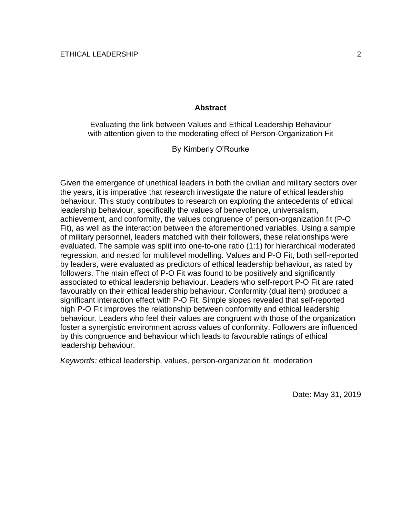#### **Abstract**

Evaluating the link between Values and Ethical Leadership Behaviour with attention given to the moderating effect of Person-Organization Fit

By Kimberly O'Rourke

Given the emergence of unethical leaders in both the civilian and military sectors over the years, it is imperative that research investigate the nature of ethical leadership behaviour. This study contributes to research on exploring the antecedents of ethical leadership behaviour, specifically the values of benevolence, universalism, achievement, and conformity, the values congruence of person-organization fit (P-O Fit), as well as the interaction between the aforementioned variables. Using a sample of military personnel, leaders matched with their followers, these relationships were evaluated. The sample was split into one-to-one ratio (1:1) for hierarchical moderated regression, and nested for multilevel modelling. Values and P-O Fit, both self-reported by leaders, were evaluated as predictors of ethical leadership behaviour, as rated by followers. The main effect of P-O Fit was found to be positively and significantly associated to ethical leadership behaviour. Leaders who self-report P-O Fit are rated favourably on their ethical leadership behaviour. Conformity (dual item) produced a significant interaction effect with P-O Fit. Simple slopes revealed that self-reported high P-O Fit improves the relationship between conformity and ethical leadership behaviour. Leaders who feel their values are congruent with those of the organization foster a synergistic environment across values of conformity. Followers are influenced by this congruence and behaviour which leads to favourable ratings of ethical leadership behaviour.

*Keywords:* ethical leadership, values, person-organization fit, moderation

Date: May 31, 2019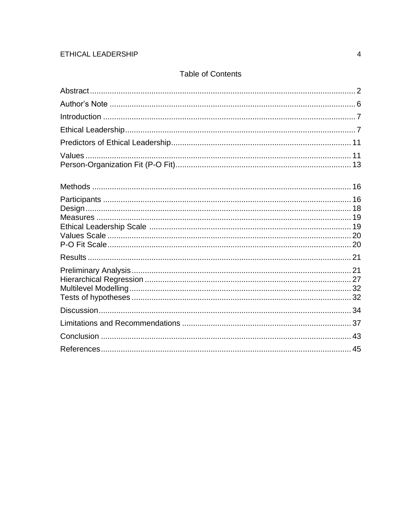## **Table of Contents**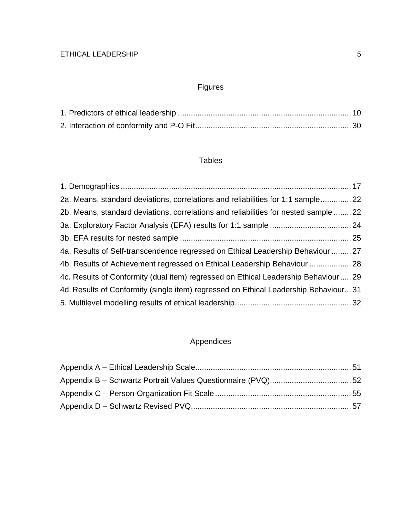# Figures

## Tables

| 22. Means, standard deviations, correlations and reliabilities for 1:1 sample 22     |
|--------------------------------------------------------------------------------------|
| 25. Means, standard deviations, correlations and reliabilities for nested sample  22 |
|                                                                                      |
|                                                                                      |
| 4a. Results of Self-transcendence regressed on Ethical Leadership Behaviour  27      |
| 4b. Results of Achievement regressed on Ethical Leadership Behaviour  28             |
| 4c. Results of Conformity (dual item) regressed on Ethical Leadership Behaviour  29  |
| 4d. Results of Conformity (single item) regressed on Ethical Leadership Behaviour31  |
|                                                                                      |
|                                                                                      |

# Appendices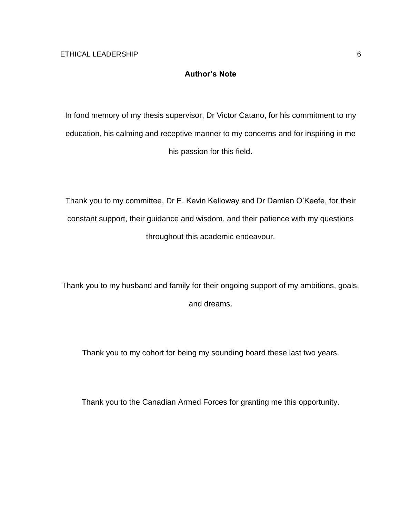## **Author's Note**

In fond memory of my thesis supervisor, Dr Victor Catano, for his commitment to my education, his calming and receptive manner to my concerns and for inspiring in me his passion for this field.

Thank you to my committee, Dr E. Kevin Kelloway and Dr Damian O'Keefe, for their constant support, their guidance and wisdom, and their patience with my questions throughout this academic endeavour.

Thank you to my husband and family for their ongoing support of my ambitions, goals, and dreams.

Thank you to my cohort for being my sounding board these last two years.

Thank you to the Canadian Armed Forces for granting me this opportunity.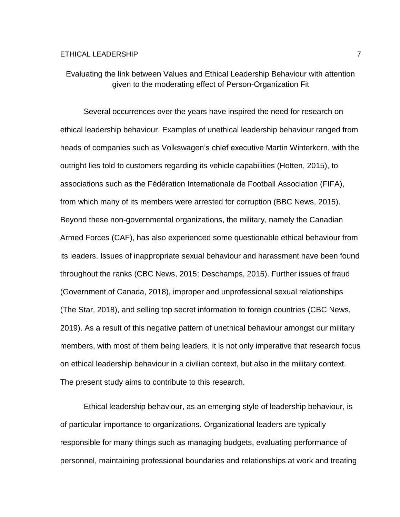Evaluating the link between Values and Ethical Leadership Behaviour with attention given to the moderating effect of Person-Organization Fit

Several occurrences over the years have inspired the need for research on ethical leadership behaviour. Examples of unethical leadership behaviour ranged from heads of companies such as Volkswagen's chief executive Martin Winterkorn, with the outright lies told to customers regarding its vehicle capabilities (Hotten, 2015), to associations such as the Fédération Internationale de Football Association (FIFA), from which many of its members were arrested for corruption (BBC News, 2015). Beyond these non-governmental organizations, the military, namely the Canadian Armed Forces (CAF), has also experienced some questionable ethical behaviour from its leaders. Issues of inappropriate sexual behaviour and harassment have been found throughout the ranks (CBC News, 2015; Deschamps, 2015). Further issues of fraud (Government of Canada, 2018), improper and unprofessional sexual relationships (The Star, 2018), and selling top secret information to foreign countries (CBC News, 2019). As a result of this negative pattern of unethical behaviour amongst our military members, with most of them being leaders, it is not only imperative that research focus on ethical leadership behaviour in a civilian context, but also in the military context. The present study aims to contribute to this research.

Ethical leadership behaviour, as an emerging style of leadership behaviour, is of particular importance to organizations. Organizational leaders are typically responsible for many things such as managing budgets, evaluating performance of personnel, maintaining professional boundaries and relationships at work and treating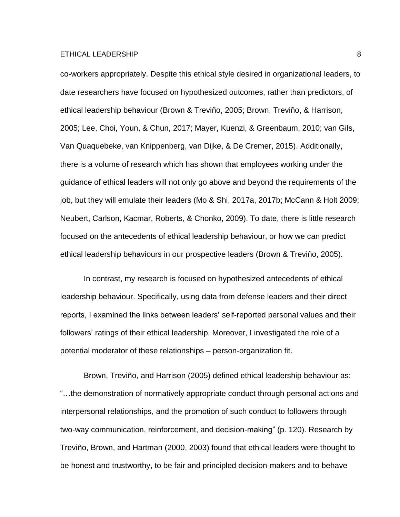co-workers appropriately. Despite this ethical style desired in organizational leaders, to date researchers have focused on hypothesized outcomes, rather than predictors, of ethical leadership behaviour (Brown & Treviño, 2005; Brown, Treviño, & Harrison, 2005; Lee, Choi, Youn, & Chun, 2017; Mayer, Kuenzi, & Greenbaum, 2010; van Gils, Van Quaquebeke, van Knippenberg, van Dijke, & De Cremer, 2015). Additionally, there is a volume of research which has shown that employees working under the guidance of ethical leaders will not only go above and beyond the requirements of the job, but they will emulate their leaders (Mo & Shi, 2017a, 2017b; McCann & Holt 2009; Neubert, Carlson, Kacmar, Roberts, & Chonko, 2009). To date, there is little research focused on the antecedents of ethical leadership behaviour, or how we can predict ethical leadership behaviours in our prospective leaders (Brown & Treviño, 2005).

In contrast, my research is focused on hypothesized antecedents of ethical leadership behaviour. Specifically, using data from defense leaders and their direct reports, I examined the links between leaders' self-reported personal values and their followers' ratings of their ethical leadership. Moreover, I investigated the role of a potential moderator of these relationships – person-organization fit.

Brown, Treviño, and Harrison (2005) defined ethical leadership behaviour as: "…the demonstration of normatively appropriate conduct through personal actions and interpersonal relationships, and the promotion of such conduct to followers through two-way communication, reinforcement, and decision-making" (p. 120). Research by Treviño, Brown, and Hartman (2000, 2003) found that ethical leaders were thought to be honest and trustworthy, to be fair and principled decision-makers and to behave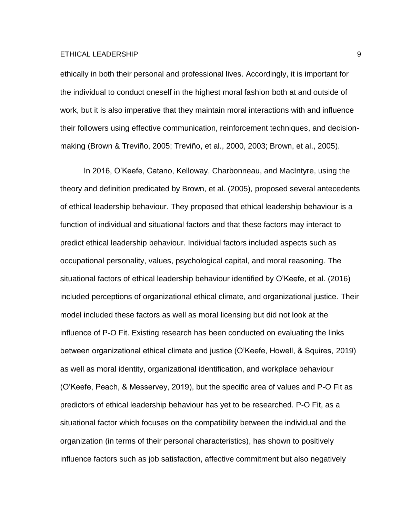ethically in both their personal and professional lives. Accordingly, it is important for the individual to conduct oneself in the highest moral fashion both at and outside of work, but it is also imperative that they maintain moral interactions with and influence their followers using effective communication, reinforcement techniques, and decisionmaking (Brown & Treviño, 2005; Treviño, et al., 2000, 2003; Brown, et al., 2005).

In 2016, O'Keefe, Catano, Kelloway, Charbonneau, and MacIntyre, using the theory and definition predicated by Brown, et al. (2005), proposed several antecedents of ethical leadership behaviour. They proposed that ethical leadership behaviour is a function of individual and situational factors and that these factors may interact to predict ethical leadership behaviour. Individual factors included aspects such as occupational personality, values, psychological capital, and moral reasoning. The situational factors of ethical leadership behaviour identified by O'Keefe, et al. (2016) included perceptions of organizational ethical climate, and organizational justice. Their model included these factors as well as moral licensing but did not look at the influence of P-O Fit. Existing research has been conducted on evaluating the links between organizational ethical climate and justice (O'Keefe, Howell, & Squires, 2019) as well as moral identity, organizational identification, and workplace behaviour (O'Keefe, Peach, & Messervey, 2019), but the specific area of values and P-O Fit as predictors of ethical leadership behaviour has yet to be researched. P-O Fit, as a situational factor which focuses on the compatibility between the individual and the organization (in terms of their personal characteristics), has shown to positively influence factors such as job satisfaction, affective commitment but also negatively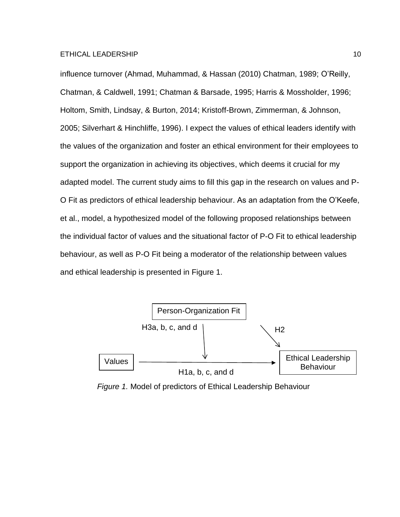influence turnover (Ahmad, Muhammad, & Hassan (2010) Chatman, 1989; O'Reilly, Chatman, & Caldwell, 1991; Chatman & Barsade, 1995; Harris & Mossholder, 1996; Holtom, Smith, Lindsay, & Burton, 2014; Kristoff-Brown, Zimmerman, & Johnson, 2005; Silverhart & Hinchliffe, 1996). I expect the values of ethical leaders identify with the values of the organization and foster an ethical environment for their employees to support the organization in achieving its objectives, which deems it crucial for my adapted model. The current study aims to fill this gap in the research on values and P-O Fit as predictors of ethical leadership behaviour. As an adaptation from the O'Keefe, et al., model, a hypothesized model of the following proposed relationships between the individual factor of values and the situational factor of P-O Fit to ethical leadership behaviour, as well as P-O Fit being a moderator of the relationship between values and ethical leadership is presented in Figure 1.



*Figure 1.* Model of predictors of Ethical Leadership Behaviour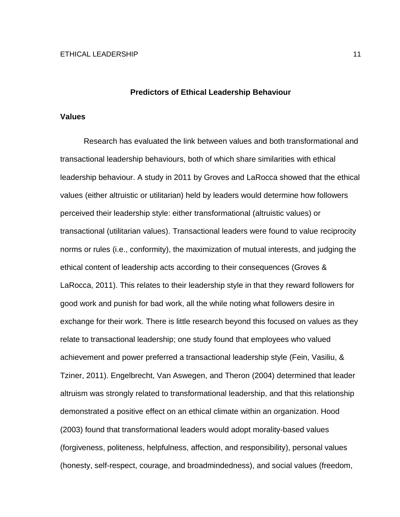#### **Predictors of Ethical Leadership Behaviour**

#### **Values**

Research has evaluated the link between values and both transformational and transactional leadership behaviours, both of which share similarities with ethical leadership behaviour. A study in 2011 by Groves and LaRocca showed that the ethical values (either altruistic or utilitarian) held by leaders would determine how followers perceived their leadership style: either transformational (altruistic values) or transactional (utilitarian values). Transactional leaders were found to value reciprocity norms or rules (i.e., conformity), the maximization of mutual interests, and judging the ethical content of leadership acts according to their consequences (Groves & LaRocca, 2011). This relates to their leadership style in that they reward followers for good work and punish for bad work, all the while noting what followers desire in exchange for their work. There is little research beyond this focused on values as they relate to transactional leadership; one study found that employees who valued achievement and power preferred a transactional leadership style (Fein, Vasiliu, & Tziner, 2011). Engelbrecht, Van Aswegen, and Theron (2004) determined that leader altruism was strongly related to transformational leadership, and that this relationship demonstrated a positive effect on an ethical climate within an organization. Hood (2003) found that transformational leaders would adopt morality-based values (forgiveness, politeness, helpfulness, affection, and responsibility), personal values (honesty, self-respect, courage, and broadmindedness), and social values (freedom,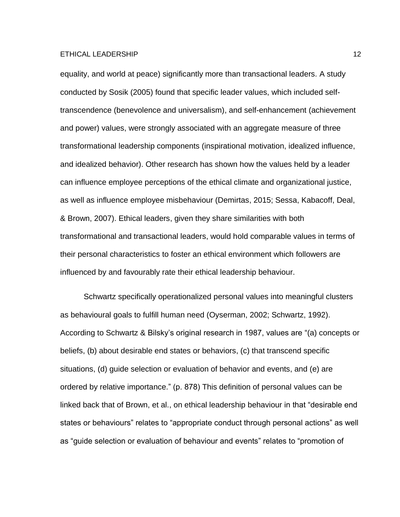equality, and world at peace) significantly more than transactional leaders. A study conducted by Sosik (2005) found that specific leader values, which included selftranscendence (benevolence and universalism), and self-enhancement (achievement and power) values, were strongly associated with an aggregate measure of three transformational leadership components (inspirational motivation, idealized influence, and idealized behavior). Other research has shown how the values held by a leader can influence employee perceptions of the ethical climate and organizational justice, as well as influence employee misbehaviour (Demirtas, 2015; Sessa, Kabacoff, Deal, & Brown, 2007). Ethical leaders, given they share similarities with both transformational and transactional leaders, would hold comparable values in terms of their personal characteristics to foster an ethical environment which followers are influenced by and favourably rate their ethical leadership behaviour.

Schwartz specifically operationalized personal values into meaningful clusters as behavioural goals to fulfill human need (Oyserman, 2002; Schwartz, 1992). According to Schwartz & Bilsky's original research in 1987, values are "(a) concepts or beliefs, (b) about desirable end states or behaviors, (c) that transcend specific situations, (d) guide selection or evaluation of behavior and events, and (e) are ordered by relative importance." (p. 878) This definition of personal values can be linked back that of Brown, et al., on ethical leadership behaviour in that "desirable end states or behaviours" relates to "appropriate conduct through personal actions" as well as "guide selection or evaluation of behaviour and events" relates to "promotion of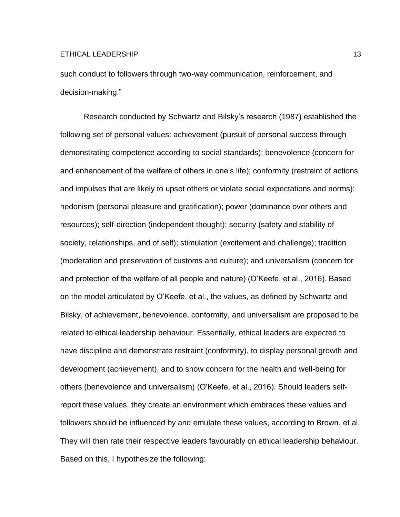such conduct to followers through two-way communication, reinforcement, and decision-making."

Research conducted by Schwartz and Bilsky's research (1987) established the following set of personal values: achievement (pursuit of personal success through demonstrating competence according to social standards); benevolence (concern for and enhancement of the welfare of others in one's life); conformity (restraint of actions and impulses that are likely to upset others or violate social expectations and norms); hedonism (personal pleasure and gratification); power (dominance over others and resources); self-direction (independent thought); security (safety and stability of society, relationships, and of self); stimulation (excitement and challenge); tradition (moderation and preservation of customs and culture); and universalism (concern for and protection of the welfare of all people and nature) (O'Keefe, et al., 2016). Based on the model articulated by O'Keefe, et al., the values, as defined by Schwartz and Bilsky, of achievement, benevolence, conformity, and universalism are proposed to be related to ethical leadership behaviour. Essentially, ethical leaders are expected to have discipline and demonstrate restraint (conformity), to display personal growth and development (achievement), and to show concern for the health and well-being for others (benevolence and universalism) (O'Keefe, et al., 2016). Should leaders selfreport these values, they create an environment which embraces these values and followers should be influenced by and emulate these values, according to Brown, et al. They will then rate their respective leaders favourably on ethical leadership behaviour. Based on this, I hypothesize the following: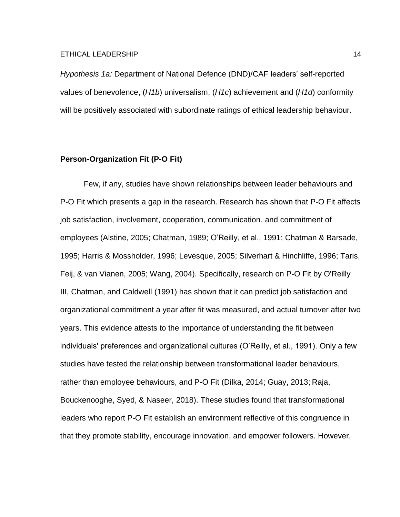*Hypothesis 1a:* Department of National Defence (DND)/CAF leaders' self-reported values of benevolence, (*H1b*) universalism, (*H1c*) achievement and (*H1d*) conformity will be positively associated with subordinate ratings of ethical leadership behaviour.

### **Person-Organization Fit (P-O Fit)**

Few, if any, studies have shown relationships between leader behaviours and P-O Fit which presents a gap in the research. Research has shown that P-O Fit affects job satisfaction, involvement, cooperation, communication, and commitment of employees (Alstine, 2005; Chatman, 1989; O'Reilly, et al., 1991; Chatman & Barsade, 1995; Harris & Mossholder, 1996; Levesque, 2005; Silverhart & Hinchliffe, 1996; Taris, Feij, & van Vianen, 2005; Wang, 2004). Specifically, research on P-O Fit by O'Reilly III, Chatman, and Caldwell (1991) has shown that it can predict job satisfaction and organizational commitment a year after fit was measured, and actual turnover after two years. This evidence attests to the importance of understanding the fit between individuals' preferences and organizational cultures (O'Reilly, et al., 1991). Only a few studies have tested the relationship between transformational leader behaviours, rather than employee behaviours, and P-O Fit (Dilka, 2014; Guay, 2013; Raja, Bouckenooghe, Syed, & Naseer, 2018). These studies found that transformational leaders who report P-O Fit establish an environment reflective of this congruence in that they promote stability, encourage innovation, and empower followers. However,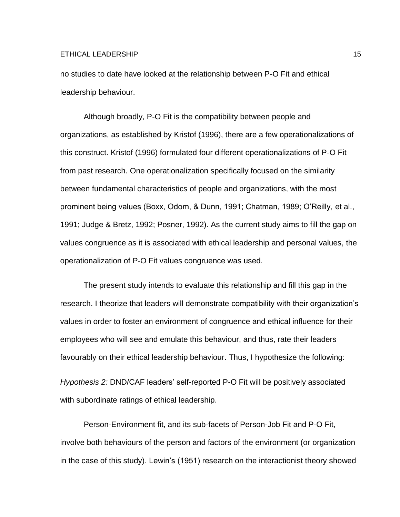no studies to date have looked at the relationship between P-O Fit and ethical leadership behaviour.

Although broadly, P-O Fit is the compatibility between people and organizations, as established by Kristof (1996), there are a few operationalizations of this construct. Kristof (1996) formulated four different operationalizations of P-O Fit from past research. One operationalization specifically focused on the similarity between fundamental characteristics of people and organizations, with the most prominent being values (Boxx, Odom, & Dunn, 1991; Chatman, 1989; O'Reilly, et al., 1991; Judge & Bretz, 1992; Posner, 1992). As the current study aims to fill the gap on values congruence as it is associated with ethical leadership and personal values, the operationalization of P-O Fit values congruence was used.

The present study intends to evaluate this relationship and fill this gap in the research. I theorize that leaders will demonstrate compatibility with their organization's values in order to foster an environment of congruence and ethical influence for their employees who will see and emulate this behaviour, and thus, rate their leaders favourably on their ethical leadership behaviour. Thus, I hypothesize the following:

*Hypothesis 2:* DND/CAF leaders' self-reported P-O Fit will be positively associated with subordinate ratings of ethical leadership.

Person-Environment fit, and its sub-facets of Person-Job Fit and P-O Fit, involve both behaviours of the person and factors of the environment (or organization in the case of this study). Lewin's (1951) research on the interactionist theory showed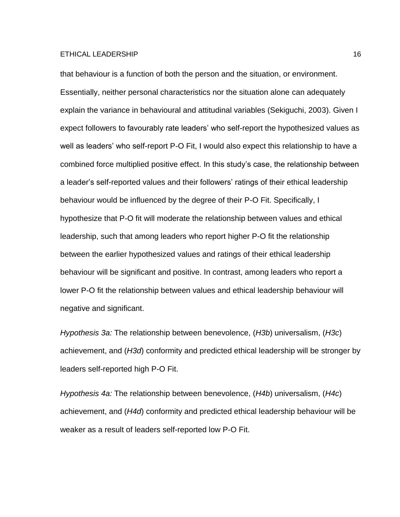that behaviour is a function of both the person and the situation, or environment. Essentially, neither personal characteristics nor the situation alone can adequately explain the variance in behavioural and attitudinal variables (Sekiguchi, 2003). Given I expect followers to favourably rate leaders' who self-report the hypothesized values as well as leaders' who self-report P-O Fit, I would also expect this relationship to have a combined force multiplied positive effect. In this study's case, the relationship between a leader's self-reported values and their followers' ratings of their ethical leadership behaviour would be influenced by the degree of their P-O Fit. Specifically, I hypothesize that P-O fit will moderate the relationship between values and ethical leadership, such that among leaders who report higher P-O fit the relationship between the earlier hypothesized values and ratings of their ethical leadership behaviour will be significant and positive. In contrast, among leaders who report a lower P-O fit the relationship between values and ethical leadership behaviour will negative and significant.

*Hypothesis 3a:* The relationship between benevolence, (*H3b*) universalism, (*H3c*) achievement, and (*H3d*) conformity and predicted ethical leadership will be stronger by leaders self-reported high P-O Fit.

*Hypothesis 4a:* The relationship between benevolence, (*H4b*) universalism, (*H4c*) achievement, and (*H4d*) conformity and predicted ethical leadership behaviour will be weaker as a result of leaders self-reported low P-O Fit.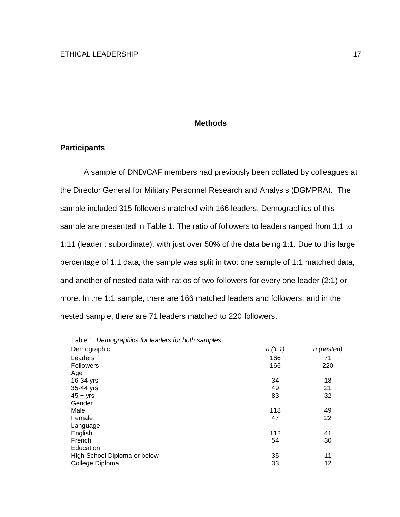#### **Methods**

#### **Participants**

A sample of DND/CAF members had previously been collated by colleagues at the Director General for Military Personnel Research and Analysis (DGMPRA). The sample included 315 followers matched with 166 leaders. Demographics of this sample are presented in Table 1. The ratio of followers to leaders ranged from 1:1 to 1:11 (leader : subordinate), with just over 50% of the data being 1:1. Due to this large percentage of 1:1 data, the sample was split in two: one sample of 1:1 matched data, and another of nested data with ratios of two followers for every one leader (2:1) or more. In the 1:1 sample, there are 166 matched leaders and followers, and in the nested sample, there are 71 leaders matched to 220 followers.

| Demographic                  | n(1:1) | n (nested) |
|------------------------------|--------|------------|
| Leaders                      | 166    | 71         |
| <b>Followers</b>             | 166    | 220        |
| Age                          |        |            |
| 16-34 yrs                    | 34     | 18         |
| 35-44 yrs                    | 49     | 21         |
| $45 + yrs$                   | 83     | 32         |
| Gender                       |        |            |
| Male                         | 118    | 49         |
| Female                       | 47     | 22         |
| Language                     |        |            |
| English                      | 112    | 41         |
| French                       | 54     | 30         |
| Education                    |        |            |
| High School Diploma or below | 35     | 11         |
| College Diploma              | 33     | 12         |

Table 1. *Demographics for leaders for both samples*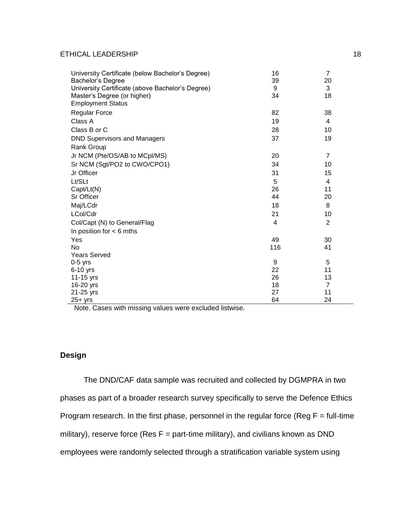| University Certificate (below Bachelor's Degree) | 16  | $\overline{7}$ |
|--------------------------------------------------|-----|----------------|
| Bachelor's Degree                                | 39  | 20             |
| University Certificate (above Bachelor's Degree) | 9   | 3              |
| Master's Degree (or higher)                      | 34  | 18             |
| <b>Employment Status</b>                         |     |                |
| <b>Regular Force</b>                             | 82  | 38             |
| Class A                                          | 19  | 4              |
| Class B or C                                     | 28  | 10             |
| <b>DND Supervisors and Managers</b>              | 37  | 19             |
| Rank Group                                       |     |                |
| Jr NCM (Pte/OS/AB to MCpl/MS)                    | 20  | $\overline{7}$ |
| Sr NCM (Sgt/PO2 to CWO/CPO1)                     | 34  | 10             |
| Jr Officer                                       | 31  | 15             |
| Lt/SLt                                           | 5   | 4              |
| Capt/Lt(N)                                       | 26  | 11             |
| Sr Officer                                       | 44  | 20             |
| Maj/LCdr                                         | 18  | 8              |
| LCol/Cdr                                         | 21  | 10             |
| Col/Capt (N) to General/Flag                     | 4   | $\overline{2}$ |
| In position for $<$ 6 mths                       |     |                |
| Yes                                              | 49  | 30             |
| N <sub>o</sub>                                   | 116 | 41             |
| <b>Years Served</b>                              |     |                |
| $0-5$ yrs                                        | 9   | 5              |
| 6-10 yrs                                         | 22  | 11             |
| 11-15 yrs                                        | 26  | 13             |
| 16-20 yrs                                        | 18  | $\overline{7}$ |
| 21-25 yrs                                        | 27  | 11             |
| $25+$ yrs                                        | 64  | 24             |

Note. Cases with missing values were excluded listwise.

## **Design**

The DND/CAF data sample was recruited and collected by DGMPRA in two phases as part of a broader research survey specifically to serve the Defence Ethics Program research. In the first phase, personnel in the regular force (Reg  $F = full-time$ military), reserve force (Res  $F =$  part-time military), and civilians known as DND employees were randomly selected through a stratification variable system using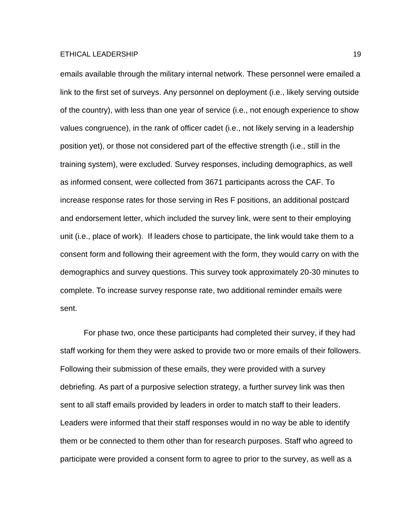emails available through the military internal network. These personnel were emailed a link to the first set of surveys. Any personnel on deployment (i.e., likely serving outside of the country), with less than one year of service (i.e., not enough experience to show values congruence), in the rank of officer cadet (i.e., not likely serving in a leadership position yet), or those not considered part of the effective strength (i.e., still in the training system), were excluded. Survey responses, including demographics, as well as informed consent, were collected from 3671 participants across the CAF. To increase response rates for those serving in Res F positions, an additional postcard and endorsement letter, which included the survey link, were sent to their employing unit (i.e., place of work). If leaders chose to participate, the link would take them to a consent form and following their agreement with the form, they would carry on with the demographics and survey questions. This survey took approximately 20-30 minutes to complete. To increase survey response rate, two additional reminder emails were sent.

For phase two, once these participants had completed their survey, if they had staff working for them they were asked to provide two or more emails of their followers. Following their submission of these emails, they were provided with a survey debriefing. As part of a purposive selection strategy, a further survey link was then sent to all staff emails provided by leaders in order to match staff to their leaders. Leaders were informed that their staff responses would in no way be able to identify them or be connected to them other than for research purposes. Staff who agreed to participate were provided a consent form to agree to prior to the survey, as well as a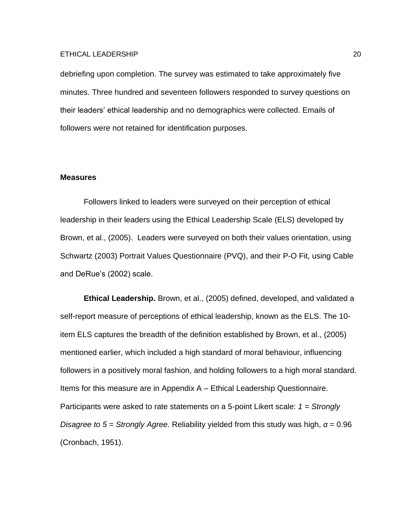debriefing upon completion. The survey was estimated to take approximately five minutes. Three hundred and seventeen followers responded to survey questions on their leaders' ethical leadership and no demographics were collected. Emails of followers were not retained for identification purposes.

#### **Measures**

Followers linked to leaders were surveyed on their perception of ethical leadership in their leaders using the Ethical Leadership Scale (ELS) developed by Brown, et al., (2005). Leaders were surveyed on both their values orientation, using Schwartz (2003) Portrait Values Questionnaire (PVQ), and their P-O Fit, using Cable and DeRue's (2002) scale.

**Ethical Leadership.** Brown, et al., (2005) defined, developed, and validated a self-report measure of perceptions of ethical leadership, known as the ELS. The 10 item ELS captures the breadth of the definition established by Brown, et al., (2005) mentioned earlier, which included a high standard of moral behaviour, influencing followers in a positively moral fashion, and holding followers to a high moral standard. Items for this measure are in Appendix A – Ethical Leadership Questionnaire. Participants were asked to rate statements on a 5-point Likert scale: *1 = Strongly Disagree to 5 = Strongly Agree*. Reliability yielded from this study was high, *α* = 0.96 (Cronbach, 1951).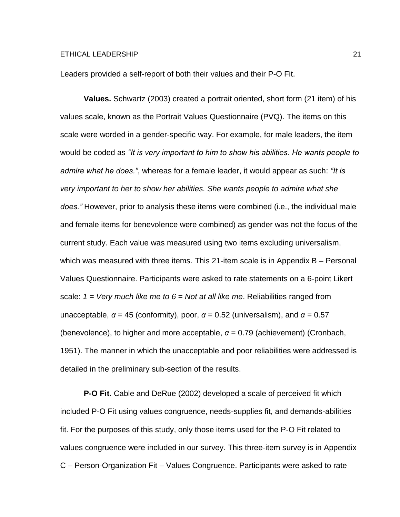Leaders provided a self-report of both their values and their P-O Fit.

**Values.** Schwartz (2003) created a portrait oriented, short form (21 item) of his values scale, known as the Portrait Values Questionnaire (PVQ). The items on this scale were worded in a gender-specific way. For example, for male leaders, the item would be coded as *"It is very important to him to show his abilities. He wants people to admire what he does."*, whereas for a female leader, it would appear as such: *"It is very important to her to show her abilities. She wants people to admire what she does."* However, prior to analysis these items were combined (i.e., the individual male and female items for benevolence were combined) as gender was not the focus of the current study. Each value was measured using two items excluding universalism, which was measured with three items. This 21-item scale is in Appendix B – Personal Values Questionnaire. Participants were asked to rate statements on a 6-point Likert scale: *1 = Very much like me to 6 = Not at all like me*. Reliabilities ranged from unacceptable,  $\alpha = 45$  (conformity), poor,  $\alpha = 0.52$  (universalism), and  $\alpha = 0.57$ (benevolence), to higher and more acceptable,  $\alpha$  = 0.79 (achievement) (Cronbach, 1951). The manner in which the unacceptable and poor reliabilities were addressed is detailed in the preliminary sub-section of the results.

**P-O Fit.** Cable and DeRue (2002) developed a scale of perceived fit which included P-O Fit using values congruence, needs-supplies fit, and demands-abilities fit. For the purposes of this study, only those items used for the P-O Fit related to values congruence were included in our survey. This three-item survey is in Appendix C – Person-Organization Fit – Values Congruence. Participants were asked to rate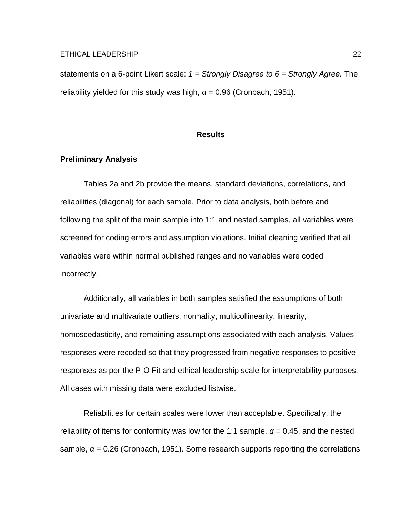statements on a 6-point Likert scale: *1 = Strongly Disagree to 6 = Strongly Agree.* The reliability yielded for this study was high,  $\alpha$  = 0.96 (Cronbach, 1951).

#### **Results**

#### **Preliminary Analysis**

Tables 2a and 2b provide the means, standard deviations, correlations, and reliabilities (diagonal) for each sample. Prior to data analysis, both before and following the split of the main sample into 1:1 and nested samples, all variables were screened for coding errors and assumption violations. Initial cleaning verified that all variables were within normal published ranges and no variables were coded incorrectly.

Additionally, all variables in both samples satisfied the assumptions of both univariate and multivariate outliers, normality, multicollinearity, linearity, homoscedasticity, and remaining assumptions associated with each analysis. Values responses were recoded so that they progressed from negative responses to positive responses as per the P-O Fit and ethical leadership scale for interpretability purposes. All cases with missing data were excluded listwise.

Reliabilities for certain scales were lower than acceptable. Specifically, the reliability of items for conformity was low for the 1:1 sample,  $\alpha$  = 0.45, and the nested sample, *α* = 0.26 (Cronbach, 1951). Some research supports reporting the correlations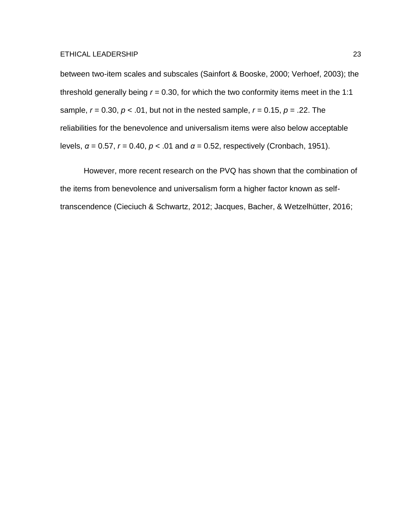between two-item scales and subscales (Sainfort & Booske, 2000; Verhoef, 2003); the threshold generally being  $r = 0.30$ , for which the two conformity items meet in the 1:1 sample, *r* = 0.30, *p* < .01, but not in the nested sample, *r* = 0.15, *p* = .22. The reliabilities for the benevolence and universalism items were also below acceptable levels, *α* = 0.57, *r* = 0.40, *p* < .01 and *α* = 0.52, respectively (Cronbach, 1951).

However, more recent research on the PVQ has shown that the combination of the items from benevolence and universalism form a higher factor known as selftranscendence (Cieciuch & Schwartz, 2012; Jacques, Bacher, & Wetzelhütter, 2016;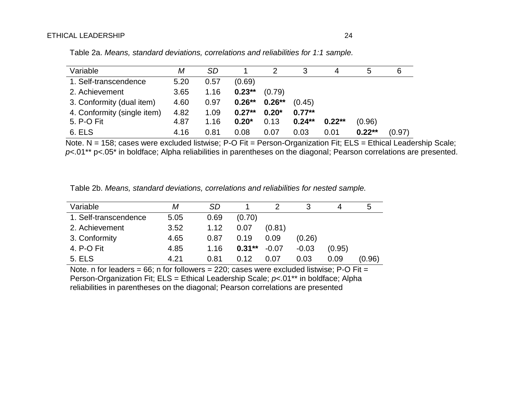| Variable                    | Μ    | <b>SD</b> |          |          |          |          |          | 6      |
|-----------------------------|------|-----------|----------|----------|----------|----------|----------|--------|
| 1. Self-transcendence       | 5.20 | 0.57      | (0.69)   |          |          |          |          |        |
| 2. Achievement              | 3.65 | 1.16      | $0.23**$ | (0.79)   |          |          |          |        |
| 3. Conformity (dual item)   | 4.60 | 0.97      | $0.26**$ | $0.26**$ | (0.45)   |          |          |        |
| 4. Conformity (single item) | 4.82 | 1.09      | $0.27**$ | $0.20*$  | $0.77**$ |          |          |        |
| 5. P-O Fit                  | 4.87 | 1.16      | $0.20*$  | 0.13     | $0.24**$ | $0.22**$ | (0.96)   |        |
| 6. ELS                      | 4.16 | 0.81      | 0.08     | 0.07     | 0.03     | 0.01     | $0.22**$ | (0.97) |

Table 2a. *Means, standard deviations, correlations and reliabilities for 1:1 sample.*

Note. N = 158; cases were excluded listwise; P-O Fit = Person-Organization Fit; ELS = Ethical Leadership Scale; *p*<.01\*\* p<.05\* in boldface; Alpha reliabilities in parentheses on the diagonal; Pearson correlations are presented.

| Table 2b. Means, standard deviations, correlations and reliabilities for nested sample. |  |  |  |
|-----------------------------------------------------------------------------------------|--|--|--|
|-----------------------------------------------------------------------------------------|--|--|--|

| Variable              | Μ    | <b>SD</b> |          |         |         |        | 5      |
|-----------------------|------|-----------|----------|---------|---------|--------|--------|
| 1. Self-transcendence | 5.05 | 0.69      | (0.70)   |         |         |        |        |
| 2. Achievement        | 3.52 | 1.12      | 0.07     | (0.81)  |         |        |        |
| 3. Conformity         | 4.65 | 0.87      | 0.19     | 0.09    | (0.26)  |        |        |
| 4. P-O Fit            | 4.85 | 1.16      | $0.31**$ | $-0.07$ | $-0.03$ | (0.95) |        |
| <b>5. ELS</b>         | 4.21 | 0.81      | 0.12     | 0.07    | 0.03    | 0.09   | (0.96) |

Note. n for leaders =  $66$ ; n for followers =  $220$ ; cases were excluded listwise; P-O Fit = Person-Organization Fit; ELS = Ethical Leadership Scale; *p*<.01\*\* in boldface; Alpha reliabilities in parentheses on the diagonal; Pearson correlations are presented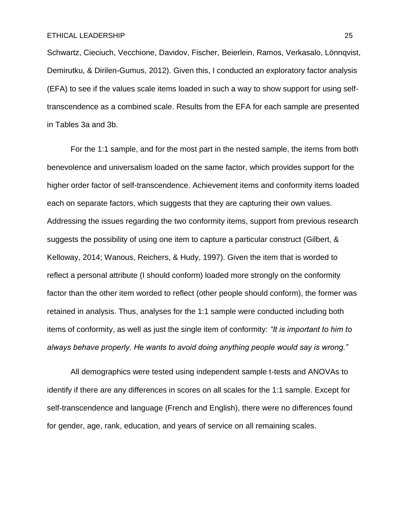Schwartz, Cieciuch, Vecchione, Davidov, Fischer, Beierlein, Ramos, Verkasalo, Lönnqvist, Demirutku, & Dirilen-Gumus, 2012). Given this, I conducted an exploratory factor analysis (EFA) to see if the values scale items loaded in such a way to show support for using selftranscendence as a combined scale. Results from the EFA for each sample are presented in Tables 3a and 3b.

For the 1:1 sample, and for the most part in the nested sample, the items from both benevolence and universalism loaded on the same factor, which provides support for the higher order factor of self-transcendence. Achievement items and conformity items loaded each on separate factors, which suggests that they are capturing their own values. Addressing the issues regarding the two conformity items, support from previous research suggests the possibility of using one item to capture a particular construct (Gilbert, & Kelloway, 2014; Wanous, Reichers, & Hudy, 1997). Given the item that is worded to reflect a personal attribute (I should conform) loaded more strongly on the conformity factor than the other item worded to reflect (other people should conform), the former was retained in analysis. Thus, analyses for the 1:1 sample were conducted including both items of conformity, as well as just the single item of conformity: *"It is important to him to always behave properly. He wants to avoid doing anything people would say is wrong."*

All demographics were tested using independent sample t-tests and ANOVAs to identify if there are any differences in scores on all scales for the 1:1 sample. Except for self-transcendence and language (French and English), there were no differences found for gender, age, rank, education, and years of service on all remaining scales.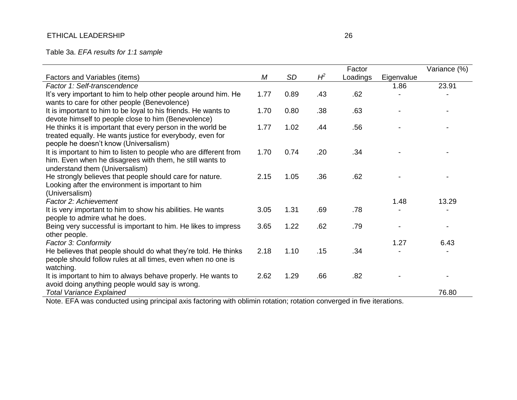Table 3a. *EFA results for 1:1 sample*

|                                                                                 |      |           |       | Factor   |            | Variance (%) |
|---------------------------------------------------------------------------------|------|-----------|-------|----------|------------|--------------|
| Factors and Variables (items)                                                   | M    | <b>SD</b> | $H^2$ | Loadings | Eigenvalue |              |
| Factor 1: Self-transcendence                                                    |      |           |       |          | 1.86       | 23.91        |
| It's very important to him to help other people around him. He                  | 1.77 | 0.89      | .43   | .62      |            |              |
| wants to care for other people (Benevolence)                                    |      |           |       |          |            |              |
| It is important to him to be loyal to his friends. He wants to                  | 1.70 | 0.80      | .38   | .63      |            |              |
| devote himself to people close to him (Benevolence)                             |      |           |       |          |            |              |
| He thinks it is important that every person in the world be                     | 1.77 | 1.02      | .44   | .56      |            |              |
| treated equally. He wants justice for everybody, even for                       |      |           |       |          |            |              |
| people he doesn't know (Universalism)                                           |      |           |       |          |            |              |
| It is important to him to listen to people who are different from               | 1.70 | 0.74      | .20   | .34      |            |              |
| him. Even when he disagrees with them, he still wants to                        |      |           |       |          |            |              |
| understand them (Universalism)                                                  |      |           |       |          |            |              |
| He strongly believes that people should care for nature.                        | 2.15 | 1.05      | .36   | .62      |            |              |
| Looking after the environment is important to him                               |      |           |       |          |            |              |
| (Universalism)                                                                  |      |           |       |          |            |              |
| Factor 2: Achievement                                                           |      |           |       |          | 1.48       | 13.29        |
| It is very important to him to show his abilities. He wants                     | 3.05 | 1.31      | .69   | .78      |            |              |
| people to admire what he does.                                                  |      | 1.22      | .62   | .79      |            |              |
| Being very successful is important to him. He likes to impress<br>other people. | 3.65 |           |       |          |            |              |
| Factor 3: Conformity                                                            |      |           |       |          | 1.27       | 6.43         |
| He believes that people should do what they're told. He thinks                  | 2.18 | 1.10      | .15   | .34      |            |              |
| people should follow rules at all times, even when no one is                    |      |           |       |          |            |              |
| watching.                                                                       |      |           |       |          |            |              |
| It is important to him to always behave properly. He wants to                   | 2.62 | 1.29      | .66   | .82      |            |              |
| avoid doing anything people would say is wrong.                                 |      |           |       |          |            |              |
| <b>Total Variance Explained</b>                                                 |      |           |       |          |            | 76.80        |
|                                                                                 |      |           |       |          |            |              |

Note. EFA was conducted using principal axis factoring with oblimin rotation; rotation converged in five iterations.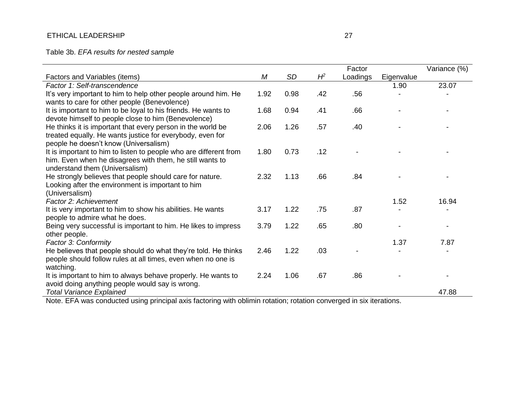Table 3b. *EFA results for nested sample*

|                                                                     |      |           |       | Factor   |            | Variance (%) |
|---------------------------------------------------------------------|------|-----------|-------|----------|------------|--------------|
| Factors and Variables (items)                                       | M    | <b>SD</b> | $H^2$ | Loadings | Eigenvalue |              |
| Factor 1: Self-transcendence                                        |      |           |       |          | 1.90       | 23.07        |
| It's very important to him to help other people around him. He      | 1.92 | 0.98      | .42   | .56      |            |              |
| wants to care for other people (Benevolence)                        |      |           |       |          |            |              |
| It is important to him to be loyal to his friends. He wants to      | 1.68 | 0.94      | .41   | .66      |            |              |
| devote himself to people close to him (Benevolence)                 |      |           |       |          |            |              |
| He thinks it is important that every person in the world be         | 2.06 | 1.26      | .57   | .40      |            |              |
| treated equally. He wants justice for everybody, even for           |      |           |       |          |            |              |
| people he doesn't know (Universalism)                               |      |           |       |          |            |              |
| It is important to him to listen to people who are different from   | 1.80 | 0.73      | .12   |          |            |              |
| him. Even when he disagrees with them, he still wants to            |      |           |       |          |            |              |
| understand them (Universalism)                                      |      |           |       |          |            |              |
| He strongly believes that people should care for nature.            | 2.32 | 1.13      | .66   | .84      |            |              |
| Looking after the environment is important to him<br>(Universalism) |      |           |       |          |            |              |
| Factor 2: Achievement                                               |      |           |       |          | 1.52       | 16.94        |
| It is very important to him to show his abilities. He wants         | 3.17 | 1.22      | .75   | .87      |            |              |
| people to admire what he does.                                      |      |           |       |          |            |              |
| Being very successful is important to him. He likes to impress      | 3.79 | 1.22      | .65   | .80      |            |              |
| other people.                                                       |      |           |       |          |            |              |
| Factor 3: Conformity                                                |      |           |       |          | 1.37       | 7.87         |
| He believes that people should do what they're told. He thinks      | 2.46 | 1.22      | .03   |          |            |              |
| people should follow rules at all times, even when no one is        |      |           |       |          |            |              |
| watching.                                                           |      |           |       |          |            |              |
| It is important to him to always behave properly. He wants to       | 2.24 | 1.06      | .67   | .86      |            |              |
| avoid doing anything people would say is wrong.                     |      |           |       |          |            |              |
| Total Variance Explained                                            |      |           |       |          |            | 47.88        |

Note. EFA was conducted using principal axis factoring with oblimin rotation; rotation converged in six iterations.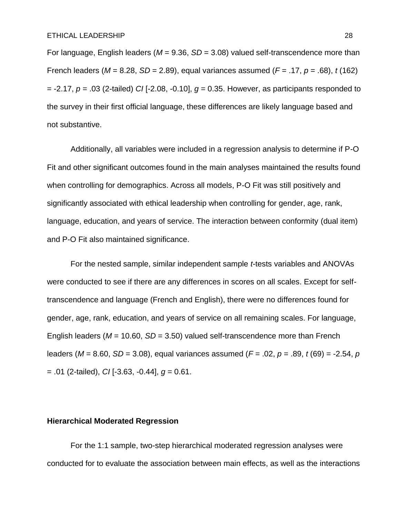For language, English leaders (*M* = 9.36, *SD* = 3.08) valued self-transcendence more than French leaders (*M* = 8.28, *SD* = 2.89), equal variances assumed (*F* = .17, *p* = .68), *t* (162) = -2.17, *p* = .03 (2-tailed) *CI* [-2.08, -0.10], *g* = 0.35. However, as participants responded to the survey in their first official language, these differences are likely language based and not substantive.

Additionally, all variables were included in a regression analysis to determine if P-O Fit and other significant outcomes found in the main analyses maintained the results found when controlling for demographics. Across all models, P-O Fit was still positively and significantly associated with ethical leadership when controlling for gender, age, rank, language, education, and years of service. The interaction between conformity (dual item) and P-O Fit also maintained significance.

For the nested sample, similar independent sample *t*-tests variables and ANOVAs were conducted to see if there are any differences in scores on all scales. Except for selftranscendence and language (French and English), there were no differences found for gender, age, rank, education, and years of service on all remaining scales. For language, English leaders (*M* = 10.60, *SD* = 3.50) valued self-transcendence more than French leaders (*M* = 8.60, *SD* = 3.08), equal variances assumed (*F* = .02, *p* = .89, *t* (69) = -2.54, *p* = .01 (2-tailed), *CI* [-3.63, -0.44], *g* = 0.61.

#### **Hierarchical Moderated Regression**

For the 1:1 sample, two-step hierarchical moderated regression analyses were conducted for to evaluate the association between main effects, as well as the interactions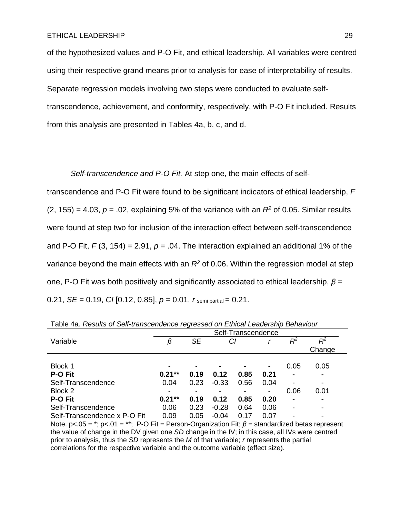of the hypothesized values and P-O Fit, and ethical leadership. All variables were centred using their respective grand means prior to analysis for ease of interpretability of results. Separate regression models involving two steps were conducted to evaluate selftranscendence, achievement, and conformity, respectively, with P-O Fit included. Results from this analysis are presented in Tables 4a, b, c, and d.

*Self-transcendence and P-O Fit.* At step one, the main effects of self-

transcendence and P-O Fit were found to be significant indicators of ethical leadership, *F*  $(2, 155) = 4.03$ ,  $p = .02$ , explaining 5% of the variance with an  $R<sup>2</sup>$  of 0.05. Similar results were found at step two for inclusion of the interaction effect between self-transcendence and P-O Fit,  $F(3, 154) = 2.91$ ,  $p = .04$ . The interaction explained an additional 1% of the variance beyond the main effects with an *R<sup>2</sup>* of 0.06. Within the regression model at step one, P-O Fit was both positively and significantly associated to ethical leadership, *β* = 0.21, *SE* = 0.19, *CI* [0.12, 0.85], *p* = 0.01, *r* semi partial = 0.21.

|                              | Self-Transcendence       |           |         |      |                          |                          |                |  |  |       |    |
|------------------------------|--------------------------|-----------|---------|------|--------------------------|--------------------------|----------------|--|--|-------|----|
| Variable                     | β                        | <b>SE</b> |         | СI   |                          |                          |                |  |  | $R^2$ | Rº |
|                              |                          |           |         |      |                          |                          | Change         |  |  |       |    |
|                              |                          |           |         |      |                          |                          |                |  |  |       |    |
| Block 1                      | $\overline{\phantom{0}}$ |           |         |      | $\overline{\phantom{a}}$ | 0.05                     | 0.05           |  |  |       |    |
| P-O Fit                      | $0.21**$                 | 0.19      | 0.12    | 0.85 | 0.21                     | $\blacksquare$           | $\blacksquare$ |  |  |       |    |
| Self-Transcendence           | 0.04                     | 0.23      | $-0.33$ | 0.56 | 0.04                     |                          |                |  |  |       |    |
| Block 2                      | $\overline{\phantom{a}}$ |           |         |      | -                        | 0.06                     | 0.01           |  |  |       |    |
| <b>P-O Fit</b>               | $0.21***$                | 0.19      | 0.12    | 0.85 | 0.20                     | $\blacksquare$           | $\blacksquare$ |  |  |       |    |
| Self-Transcendence           | 0.06                     | 0.23      | $-0.28$ | 0.64 | 0.06                     | $\overline{\phantom{0}}$ |                |  |  |       |    |
| Self-Transcendence x P-O Fit | 0.09                     | 0.05      | $-0.04$ | 0.17 | 0.07                     |                          |                |  |  |       |    |

Table 4a. *Results of Self-transcendence regressed on Ethical Leadership Behaviour*

Note. p<.05 = \*; p<.01 = \*\*; P-O Fit = Person-Organization Fit; *β* = standardized betas represent the value of change in the DV given one *SD* change in the IV; in this case, all IVs were centred prior to analysis, thus the *SD* represents the *M* of that variable; *r* represents the partial correlations for the respective variable and the outcome variable (effect size).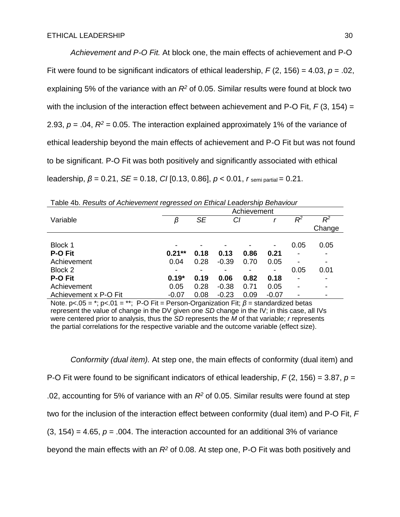*Achievement and P-O Fit.* At block one, the main effects of achievement and P-O Fit were found to be significant indicators of ethical leadership, *F* (2, 156) = 4.03, *p* = .02, explaining 5% of the variance with an *R<sup>2</sup>* of 0.05. Similar results were found at block two with the inclusion of the interaction effect between achievement and P-O Fit,  $F(3, 154) =$ 2.93,  $p = 0.04$ ,  $R^2 = 0.05$ . The interaction explained approximately 1% of the variance of ethical leadership beyond the main effects of achievement and P-O Fit but was not found to be significant. P-O Fit was both positively and significantly associated with ethical leadership, *β* = 0.21, *SE* = 0.18, *CI* [0.13, 0.86], *p* < 0.01, *r* semi partial = 0.21.

| rable ib. Roodite of Homovemore regressed on Edmodi Ecadoremp Bond Hodi |             |           |         |      |                          |       |        |  |  |  |
|-------------------------------------------------------------------------|-------------|-----------|---------|------|--------------------------|-------|--------|--|--|--|
|                                                                         | Achievement |           |         |      |                          |       |        |  |  |  |
| Variable                                                                | β           | <b>SE</b> | СI      |      |                          | $R^2$ | $R^2$  |  |  |  |
|                                                                         |             |           |         |      |                          |       | Change |  |  |  |
|                                                                         |             |           |         |      |                          |       |        |  |  |  |
| Block 1                                                                 | -           |           |         |      | $\overline{\phantom{a}}$ | 0.05  | 0.05   |  |  |  |
| P-O Fit                                                                 | $0.21**$    | 0.18      | 0.13    | 0.86 | 0.21                     |       |        |  |  |  |
| Achievement                                                             | 0.04        | 0.28      | $-0.39$ | 0.70 | 0.05                     |       |        |  |  |  |
| Block 2                                                                 | ٠           |           |         |      | -                        | 0.05  | 0.01   |  |  |  |
| <b>P-O Fit</b>                                                          | $0.19*$     | 0.19      | 0.06    | 0.82 | 0.18                     |       |        |  |  |  |
| Achievement                                                             | 0.05        | 0.28      | $-0.38$ | 0.71 | 0.05                     |       | ۰      |  |  |  |
| Achievement x P-O Fit                                                   | $-0.07$     | 0.08      | $-0.23$ | 0.09 | $-0.07$                  |       |        |  |  |  |

Table 4b. *Results of Achievement regressed on Ethical Leadership Behaviour*

Note. p<.05 = \*; p<.01 = \*\*; P-O Fit = Person-Organization Fit; *β* = standardized betas represent the value of change in the DV given one *SD* change in the IV; in this case, all IVs were centered prior to analysis, thus the *SD* represents the *M* of that variable; *r* represents the partial correlations for the respective variable and the outcome variable (effect size).

*Conformity (dual item).* At step one, the main effects of conformity (dual item) and P-O Fit were found to be significant indicators of ethical leadership, *F* (2, 156) = 3.87, *p* = .02, accounting for 5% of variance with an *R<sup>2</sup>* of 0.05. Similar results were found at step two for the inclusion of the interaction effect between conformity (dual item) and P-O Fit, *F*  $(3, 154) = 4.65$ ,  $p = .004$ . The interaction accounted for an additional 3% of variance beyond the main effects with an *R<sup>2</sup>* of 0.08. At step one, P-O Fit was both positively and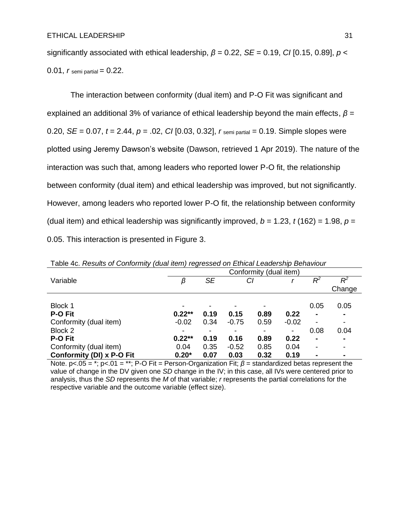significantly associated with ethical leadership, *β* = 0.22, *SE* = 0.19, *CI* [0.15, 0.89], *p* < 0.01,  $r$  semi partial =  $0.22$ .

The interaction between conformity (dual item) and P-O Fit was significant and explained an additional 3% of variance of ethical leadership beyond the main effects, *β* = 0.20, *SE* = 0.07, *t* = 2.44, *p* = .02, *CI* [0.03, 0.32], *r* semi partial = 0.19. Simple slopes were plotted using Jeremy Dawson's website (Dawson, retrieved 1 Apr 2019). The nature of the interaction was such that, among leaders who reported lower P-O fit, the relationship between conformity (dual item) and ethical leadership was improved, but not significantly. However, among leaders who reported lower P-O fit, the relationship between conformity (dual item) and ethical leadership was significantly improved,  $b = 1.23$ ,  $t(162) = 1.98$ ,  $p =$ 0.05. This interaction is presented in Figure 3.

|                           | $-7$<br>Conformity (dual item) |           |         |      |         |                |                          |  |
|---------------------------|--------------------------------|-----------|---------|------|---------|----------------|--------------------------|--|
| Variable                  | β                              | <b>SE</b> |         | CI   |         | $R^2$          | $R^2$                    |  |
|                           |                                |           |         |      |         |                | Change                   |  |
|                           |                                |           |         |      |         |                |                          |  |
| Block 1                   | -                              |           |         |      |         | 0.05           | 0.05                     |  |
| <b>P-O Fit</b>            | $0.22**$                       | 0.19      | 0.15    | 0.89 | 0.22    | $\blacksquare$ | $\blacksquare$           |  |
| Conformity (dual item)    | $-0.02$                        | 0.34      | $-0.75$ | 0.59 | $-0.02$ | -              | $\blacksquare$           |  |
| Block 2                   | ٠                              |           |         |      | -       | 0.08           | 0.04                     |  |
| <b>P-O Fit</b>            | $0.22**$                       | 0.19      | 0.16    | 0.89 | 0.22    | $\blacksquare$ | $\blacksquare$           |  |
| Conformity (dual item)    | 0.04                           | 0.35      | $-0.52$ | 0.85 | 0.04    | -              | $\overline{\phantom{0}}$ |  |
| Conformity (DI) x P-O Fit | $0.20*$                        | 0.07      | 0.03    | 0.32 | 0.19    |                | $\blacksquare$           |  |

Table 4c. *Results of Conformity (dual item) regressed on Ethical Leadership Behaviour*

Note. p<.05 = \*; p<.01 = \*\*; P-O Fit = Person-Organization Fit; *β* = standardized betas represent the value of change in the DV given one *SD* change in the IV; in this case, all IVs were centered prior to analysis, thus the *SD* represents the *M* of that variable; *r* represents the partial correlations for the respective variable and the outcome variable (effect size).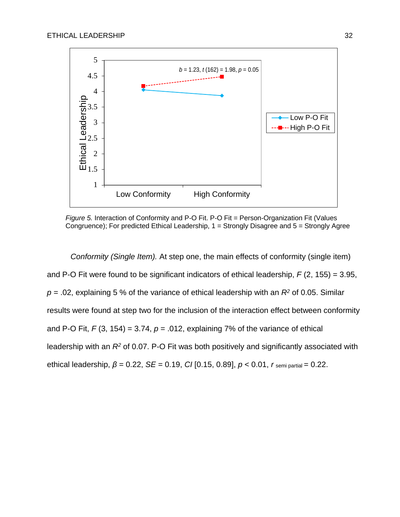

*Figure 5.* Interaction of Conformity and P-O Fit. P-O Fit = Person-Organization Fit (Values Congruence); For predicted Ethical Leadership, 1 = Strongly Disagree and 5 = Strongly Agree

*Conformity (Single Item).* At step one, the main effects of conformity (single item) and P-O Fit were found to be significant indicators of ethical leadership, *F* (2, 155) = 3.95,  $p = 0.02$ , explaining 5 % of the variance of ethical leadership with an  $R<sup>2</sup>$  of 0.05. Similar results were found at step two for the inclusion of the interaction effect between conformity and P-O Fit,  $F(3, 154) = 3.74$ ,  $p = .012$ , explaining 7% of the variance of ethical leadership with an *R<sup>2</sup>* of 0.07. P-O Fit was both positively and significantly associated with ethical leadership, *β* = 0.22, *SE* = 0.19, *CI* [0.15, 0.89], *p* < 0.01, *r* semi partial = 0.22.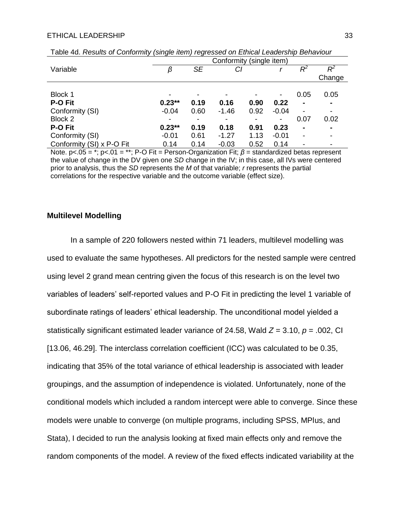|                           | $\sim$                   | - 7       |                |      |         |                          |                          |  |  |
|---------------------------|--------------------------|-----------|----------------|------|---------|--------------------------|--------------------------|--|--|
|                           | Conformity (single item) |           |                |      |         |                          |                          |  |  |
| Variable                  | β                        | <b>SE</b> | СI             |      |         | $R^2$                    | $R^2$                    |  |  |
|                           |                          |           |                |      |         |                          | Change                   |  |  |
|                           |                          |           |                |      |         |                          |                          |  |  |
| Block 1                   | ٠                        |           | -              |      | ۰       | 0.05                     | 0.05                     |  |  |
| P-O Fit                   | $0.23**$                 | 0.19      | 0.16           | 0.90 | 0.22    | $\blacksquare$           | $\blacksquare$           |  |  |
| Conformity (SI)           | $-0.04$                  | 0.60      | $-1.46$        | 0.92 | $-0.04$ | $\overline{\phantom{a}}$ | $\overline{\phantom{a}}$ |  |  |
| Block 2                   | $\overline{\phantom{a}}$ | ۰         | $\blacksquare$ |      | ۰       | 0.07                     | 0.02                     |  |  |
| <b>P-O Fit</b>            | $0.23**$                 | 0.19      | 0.18           | 0.91 | 0.23    | $\blacksquare$           | $\blacksquare$           |  |  |
| Conformity (SI)           | $-0.01$                  | 0.61      | $-1.27$        | 1.13 | $-0.01$ | ٠                        | $\overline{\phantom{a}}$ |  |  |
| Conformity (SI) x P-O Fit | 0.14                     | 0.14      | $-0.03$        | 0.52 | 0.14    |                          | $\overline{\phantom{a}}$ |  |  |

Table 4d. *Results of Conformity (single item) regressed on Ethical Leadership Behaviour*

Note. p<.05 = \*; p<.01 = \*\*; P-O Fit = Person-Organization Fit; *β* = standardized betas represent the value of change in the DV given one *SD* change in the IV; in this case, all IVs were centered prior to analysis, thus the *SD* represents the *M* of that variable; *r* represents the partial correlations for the respective variable and the outcome variable (effect size).

#### **Multilevel Modelling**

In a sample of 220 followers nested within 71 leaders, multilevel modelling was used to evaluate the same hypotheses. All predictors for the nested sample were centred using level 2 grand mean centring given the focus of this research is on the level two variables of leaders' self-reported values and P-O Fit in predicting the level 1 variable of subordinate ratings of leaders' ethical leadership. The unconditional model yielded a statistically significant estimated leader variance of 24.58, Wald *Z* = 3.10, *p* = .002, CI [13.06, 46.29]. The interclass correlation coefficient (ICC) was calculated to be 0.35, indicating that 35% of the total variance of ethical leadership is associated with leader groupings, and the assumption of independence is violated. Unfortunately, none of the conditional models which included a random intercept were able to converge. Since these models were unable to converge (on multiple programs, including SPSS, MPlus, and Stata), I decided to run the analysis looking at fixed main effects only and remove the random components of the model. A review of the fixed effects indicated variability at the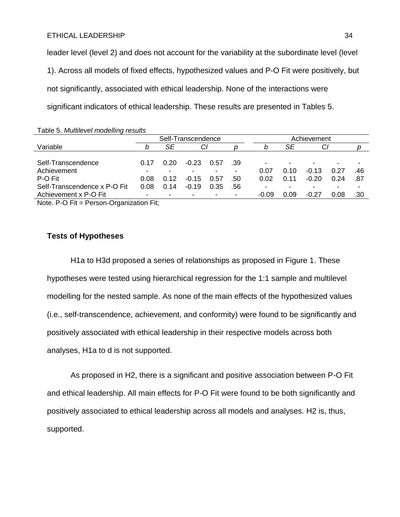leader level (level 2) and does not account for the variability at the subordinate level (level 1). Across all models of fixed effects, hypothesized values and P-O Fit were positively, but not significantly, associated with ethical leadership. None of the interactions were significant indicators of ethical leadership. These results are presented in Tables 5.

| Table 5. Multilevel modelling results |      |                    |         |      |     |             |      |         |      |     |
|---------------------------------------|------|--------------------|---------|------|-----|-------------|------|---------|------|-----|
|                                       |      | Self-Transcendence |         |      |     | Achievement |      |         |      |     |
| Variable                              |      | SE                 | Cl      |      |     | b           | SE   | СI      |      |     |
|                                       |      |                    |         |      |     |             |      |         |      |     |
| Self-Transcendence                    | በ 17 | 0.20               | $-0.23$ | 0.57 | .39 |             |      |         |      |     |
| Achievement                           |      |                    |         |      |     | 0.07        | 0.10 | $-0.13$ | 0.27 | .46 |
| P-O Fit                               | 0.08 | 0.12               | $-0.15$ | 0.57 | .50 | 0.02        | 0.11 | $-0.20$ | 0.24 | .87 |
| Self-Transcendence x P-O Fit          | 0.08 | 0.14               | $-0.19$ | 0.35 | .56 |             |      |         |      |     |
| Achievement x P-O Fit                 |      |                    |         |      |     | $-0.09$     | 0.09 | $-0.27$ | 0.08 | .30 |
|                                       |      |                    |         |      |     |             |      |         |      |     |

Note. P-O Fit = Person-Organization Fit;

#### **Tests of Hypotheses**

H1a to H3d proposed a series of relationships as proposed in Figure 1. These hypotheses were tested using hierarchical regression for the 1:1 sample and multilevel modelling for the nested sample. As none of the main effects of the hypothesized values (i.e., self-transcendence, achievement, and conformity) were found to be significantly and positively associated with ethical leadership in their respective models across both analyses, H1a to d is not supported.

As proposed in H2, there is a significant and positive association between P-O Fit and ethical leadership. All main effects for P-O Fit were found to be both significantly and positively associated to ethical leadership across all models and analyses. H2 is, thus, supported.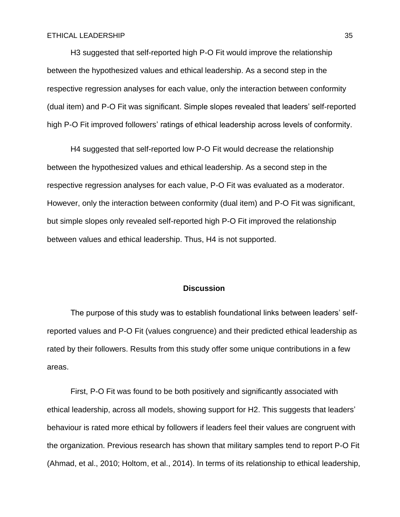H3 suggested that self-reported high P-O Fit would improve the relationship between the hypothesized values and ethical leadership. As a second step in the respective regression analyses for each value, only the interaction between conformity (dual item) and P-O Fit was significant. Simple slopes revealed that leaders' self-reported high P-O Fit improved followers' ratings of ethical leadership across levels of conformity.

H4 suggested that self-reported low P-O Fit would decrease the relationship between the hypothesized values and ethical leadership. As a second step in the respective regression analyses for each value, P-O Fit was evaluated as a moderator. However, only the interaction between conformity (dual item) and P-O Fit was significant, but simple slopes only revealed self-reported high P-O Fit improved the relationship between values and ethical leadership. Thus, H4 is not supported.

#### **Discussion**

The purpose of this study was to establish foundational links between leaders' selfreported values and P-O Fit (values congruence) and their predicted ethical leadership as rated by their followers. Results from this study offer some unique contributions in a few areas.

First, P-O Fit was found to be both positively and significantly associated with ethical leadership, across all models, showing support for H2. This suggests that leaders' behaviour is rated more ethical by followers if leaders feel their values are congruent with the organization. Previous research has shown that military samples tend to report P-O Fit (Ahmad, et al., 2010; Holtom, et al., 2014). In terms of its relationship to ethical leadership,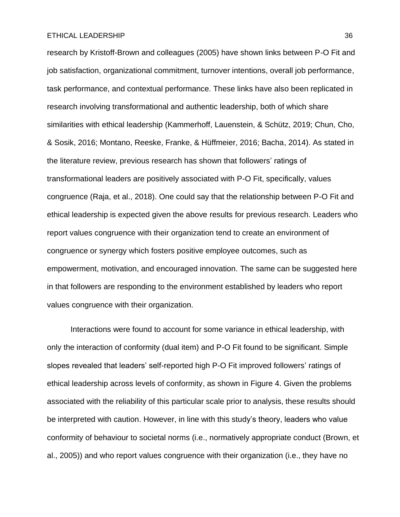research by Kristoff-Brown and colleagues (2005) have shown links between P-O Fit and job satisfaction, organizational commitment, turnover intentions, overall job performance, task performance, and contextual performance. These links have also been replicated in research involving transformational and authentic leadership, both of which share similarities with ethical leadership (Kammerhoff, Lauenstein, & Schütz, 2019; Chun, Cho, & Sosik, 2016; Montano, Reeske, Franke, & Hüffmeier, 2016; Bacha, 2014). As stated in the literature review, previous research has shown that followers' ratings of transformational leaders are positively associated with P-O Fit, specifically, values congruence (Raja, et al., 2018). One could say that the relationship between P-O Fit and ethical leadership is expected given the above results for previous research. Leaders who report values congruence with their organization tend to create an environment of congruence or synergy which fosters positive employee outcomes, such as empowerment, motivation, and encouraged innovation. The same can be suggested here in that followers are responding to the environment established by leaders who report values congruence with their organization.

Interactions were found to account for some variance in ethical leadership, with only the interaction of conformity (dual item) and P-O Fit found to be significant. Simple slopes revealed that leaders' self-reported high P-O Fit improved followers' ratings of ethical leadership across levels of conformity, as shown in Figure 4. Given the problems associated with the reliability of this particular scale prior to analysis, these results should be interpreted with caution. However, in line with this study's theory, leaders who value conformity of behaviour to societal norms (i.e., normatively appropriate conduct (Brown, et al., 2005)) and who report values congruence with their organization (i.e., they have no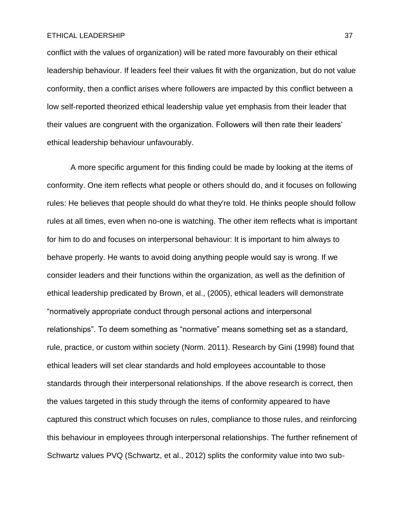conflict with the values of organization) will be rated more favourably on their ethical leadership behaviour. If leaders feel their values fit with the organization, but do not value conformity, then a conflict arises where followers are impacted by this conflict between a low self-reported theorized ethical leadership value yet emphasis from their leader that their values are congruent with the organization. Followers will then rate their leaders' ethical leadership behaviour unfavourably.

A more specific argument for this finding could be made by looking at the items of conformity. One item reflects what people or others should do, and it focuses on following rules: He believes that people should do what they're told. He thinks people should follow rules at all times, even when no-one is watching. The other item reflects what is important for him to do and focuses on interpersonal behaviour: It is important to him always to behave properly. He wants to avoid doing anything people would say is wrong. If we consider leaders and their functions within the organization, as well as the definition of ethical leadership predicated by Brown, et al., (2005), ethical leaders will demonstrate "normatively appropriate conduct through personal actions and interpersonal relationships". To deem something as "normative" means something set as a standard, rule, practice, or custom within society (Norm. 2011). Research by Gini (1998) found that ethical leaders will set clear standards and hold employees accountable to those standards through their interpersonal relationships. If the above research is correct, then the values targeted in this study through the items of conformity appeared to have captured this construct which focuses on rules, compliance to those rules, and reinforcing this behaviour in employees through interpersonal relationships. The further refinement of Schwartz values PVQ (Schwartz, et al., 2012) splits the conformity value into two sub-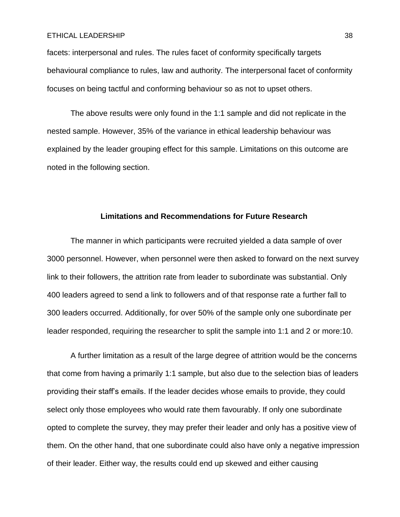facets: interpersonal and rules. The rules facet of conformity specifically targets behavioural compliance to rules, law and authority. The interpersonal facet of conformity focuses on being tactful and conforming behaviour so as not to upset others.

The above results were only found in the 1:1 sample and did not replicate in the nested sample. However, 35% of the variance in ethical leadership behaviour was explained by the leader grouping effect for this sample. Limitations on this outcome are noted in the following section.

#### **Limitations and Recommendations for Future Research**

The manner in which participants were recruited yielded a data sample of over 3000 personnel. However, when personnel were then asked to forward on the next survey link to their followers, the attrition rate from leader to subordinate was substantial. Only 400 leaders agreed to send a link to followers and of that response rate a further fall to 300 leaders occurred. Additionally, for over 50% of the sample only one subordinate per leader responded, requiring the researcher to split the sample into 1:1 and 2 or more:10.

A further limitation as a result of the large degree of attrition would be the concerns that come from having a primarily 1:1 sample, but also due to the selection bias of leaders providing their staff's emails. If the leader decides whose emails to provide, they could select only those employees who would rate them favourably. If only one subordinate opted to complete the survey, they may prefer their leader and only has a positive view of them. On the other hand, that one subordinate could also have only a negative impression of their leader. Either way, the results could end up skewed and either causing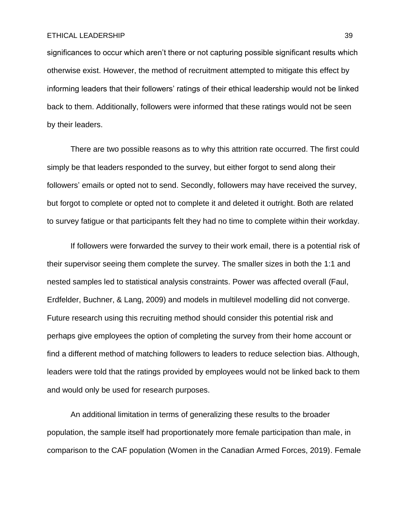significances to occur which aren't there or not capturing possible significant results which otherwise exist. However, the method of recruitment attempted to mitigate this effect by informing leaders that their followers' ratings of their ethical leadership would not be linked back to them. Additionally, followers were informed that these ratings would not be seen by their leaders.

There are two possible reasons as to why this attrition rate occurred. The first could simply be that leaders responded to the survey, but either forgot to send along their followers' emails or opted not to send. Secondly, followers may have received the survey, but forgot to complete or opted not to complete it and deleted it outright. Both are related to survey fatigue or that participants felt they had no time to complete within their workday.

If followers were forwarded the survey to their work email, there is a potential risk of their supervisor seeing them complete the survey. The smaller sizes in both the 1:1 and nested samples led to statistical analysis constraints. Power was affected overall (Faul, Erdfelder, Buchner, & Lang, 2009) and models in multilevel modelling did not converge. Future research using this recruiting method should consider this potential risk and perhaps give employees the option of completing the survey from their home account or find a different method of matching followers to leaders to reduce selection bias. Although, leaders were told that the ratings provided by employees would not be linked back to them and would only be used for research purposes.

An additional limitation in terms of generalizing these results to the broader population, the sample itself had proportionately more female participation than male, in comparison to the CAF population (Women in the Canadian Armed Forces, 2019). Female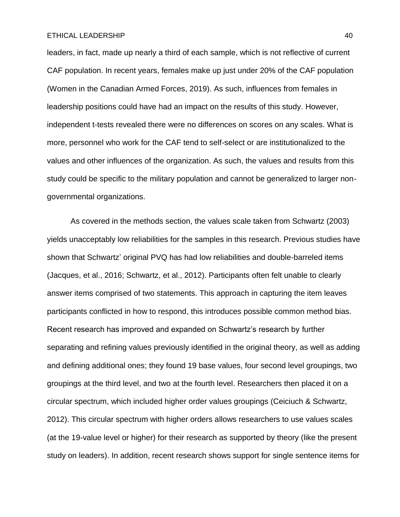leaders, in fact, made up nearly a third of each sample, which is not reflective of current CAF population. In recent years, females make up just under 20% of the CAF population (Women in the Canadian Armed Forces, 2019). As such, influences from females in leadership positions could have had an impact on the results of this study. However, independent t-tests revealed there were no differences on scores on any scales. What is more, personnel who work for the CAF tend to self-select or are institutionalized to the values and other influences of the organization. As such, the values and results from this study could be specific to the military population and cannot be generalized to larger nongovernmental organizations.

As covered in the methods section, the values scale taken from Schwartz (2003) yields unacceptably low reliabilities for the samples in this research. Previous studies have shown that Schwartz' original PVQ has had low reliabilities and double-barreled items (Jacques, et al., 2016; Schwartz, et al., 2012). Participants often felt unable to clearly answer items comprised of two statements. This approach in capturing the item leaves participants conflicted in how to respond, this introduces possible common method bias. Recent research has improved and expanded on Schwartz's research by further separating and refining values previously identified in the original theory, as well as adding and defining additional ones; they found 19 base values, four second level groupings, two groupings at the third level, and two at the fourth level. Researchers then placed it on a circular spectrum, which included higher order values groupings (Ceiciuch & Schwartz, 2012). This circular spectrum with higher orders allows researchers to use values scales (at the 19-value level or higher) for their research as supported by theory (like the present study on leaders). In addition, recent research shows support for single sentence items for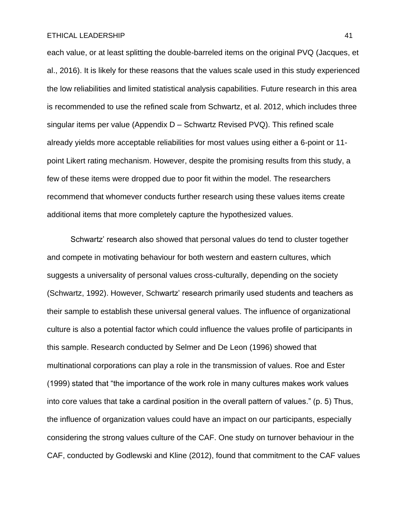each value, or at least splitting the double-barreled items on the original PVQ (Jacques, et al., 2016). It is likely for these reasons that the values scale used in this study experienced the low reliabilities and limited statistical analysis capabilities. Future research in this area is recommended to use the refined scale from Schwartz, et al. 2012, which includes three singular items per value (Appendix D – Schwartz Revised PVQ). This refined scale already yields more acceptable reliabilities for most values using either a 6-point or 11 point Likert rating mechanism. However, despite the promising results from this study, a few of these items were dropped due to poor fit within the model. The researchers recommend that whomever conducts further research using these values items create additional items that more completely capture the hypothesized values.

Schwartz' research also showed that personal values do tend to cluster together and compete in motivating behaviour for both western and eastern cultures, which suggests a universality of personal values cross-culturally, depending on the society (Schwartz, 1992). However, Schwartz' research primarily used students and teachers as their sample to establish these universal general values. The influence of organizational culture is also a potential factor which could influence the values profile of participants in this sample. Research conducted by Selmer and De Leon (1996) showed that multinational corporations can play a role in the transmission of values. Roe and Ester (1999) stated that "the importance of the work role in many cultures makes work values into core values that take a cardinal position in the overall pattern of values." (p. 5) Thus, the influence of organization values could have an impact on our participants, especially considering the strong values culture of the CAF. One study on turnover behaviour in the CAF, conducted by Godlewski and Kline (2012), found that commitment to the CAF values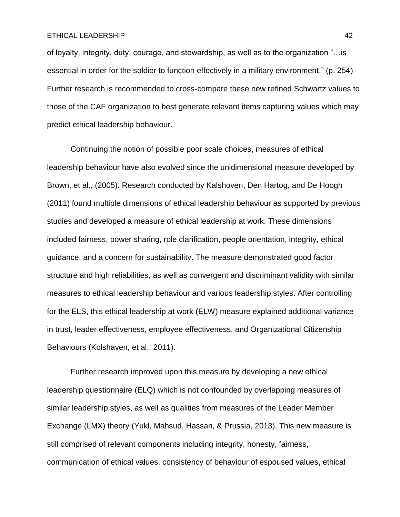of loyalty, integrity, duty, courage, and stewardship, as well as to the organization "…is essential in order for the soldier to function effectively in a military environment." (p. 254) Further research is recommended to cross-compare these new refined Schwartz values to those of the CAF organization to best generate relevant items capturing values which may predict ethical leadership behaviour.

Continuing the notion of possible poor scale choices, measures of ethical leadership behaviour have also evolved since the unidimensional measure developed by Brown, et al., (2005). Research conducted by Kalshoven, Den Hartog, and De Hoogh (2011) found multiple dimensions of ethical leadership behaviour as supported by previous studies and developed a measure of ethical leadership at work. These dimensions included fairness, power sharing, role clarification, people orientation, integrity, ethical guidance, and a concern for sustainability. The measure demonstrated good factor structure and high reliabilities, as well as convergent and discriminant validity with similar measures to ethical leadership behaviour and various leadership styles. After controlling for the ELS, this ethical leadership at work (ELW) measure explained additional variance in trust, leader effectiveness, employee effectiveness, and Organizational Citizenship Behaviours (Kolshaven, et al., 2011).

Further research improved upon this measure by developing a new ethical leadership questionnaire (ELQ) which is not confounded by overlapping measures of similar leadership styles, as well as qualities from measures of the Leader Member Exchange (LMX) theory (Yukl, Mahsud, Hassan, & Prussia, 2013). This new measure is still comprised of relevant components including integrity, honesty, fairness, communication of ethical values, consistency of behaviour of espoused values, ethical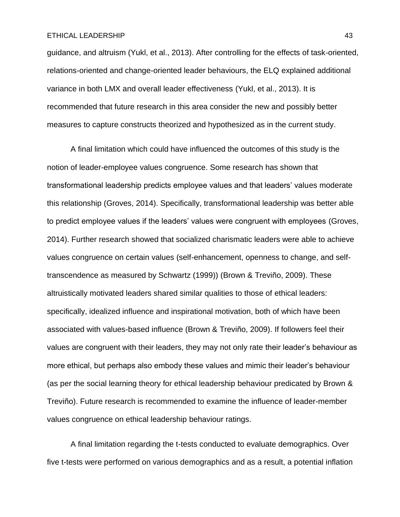guidance, and altruism (Yukl, et al., 2013). After controlling for the effects of task-oriented, relations-oriented and change-oriented leader behaviours, the ELQ explained additional variance in both LMX and overall leader effectiveness (Yukl, et al., 2013). It is recommended that future research in this area consider the new and possibly better measures to capture constructs theorized and hypothesized as in the current study.

A final limitation which could have influenced the outcomes of this study is the notion of leader-employee values congruence. Some research has shown that transformational leadership predicts employee values and that leaders' values moderate this relationship (Groves, 2014). Specifically, transformational leadership was better able to predict employee values if the leaders' values were congruent with employees (Groves, 2014). Further research showed that socialized charismatic leaders were able to achieve values congruence on certain values (self-enhancement, openness to change, and selftranscendence as measured by Schwartz (1999)) (Brown & Treviño, 2009). These altruistically motivated leaders shared similar qualities to those of ethical leaders: specifically, idealized influence and inspirational motivation, both of which have been associated with values-based influence (Brown & Treviño, 2009). If followers feel their values are congruent with their leaders, they may not only rate their leader's behaviour as more ethical, but perhaps also embody these values and mimic their leader's behaviour (as per the social learning theory for ethical leadership behaviour predicated by Brown & Treviño). Future research is recommended to examine the influence of leader-member values congruence on ethical leadership behaviour ratings.

A final limitation regarding the t-tests conducted to evaluate demographics. Over five t-tests were performed on various demographics and as a result, a potential inflation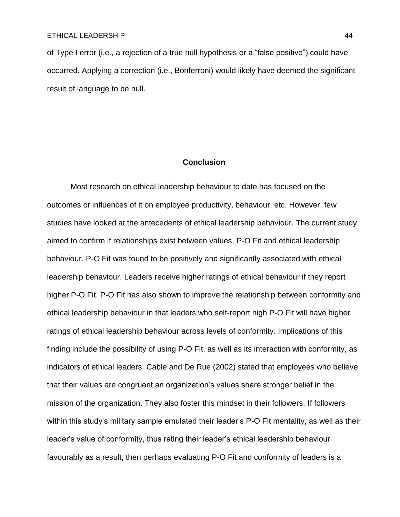of Type I error (i.e., a rejection of a true null hypothesis or a "false positive") could have occurred. Applying a correction (i.e., Bonferroni) would likely have deemed the significant result of language to be null.

#### **Conclusion**

Most research on ethical leadership behaviour to date has focused on the outcomes or influences of it on employee productivity, behaviour, etc. However, few studies have looked at the antecedents of ethical leadership behaviour. The current study aimed to confirm if relationships exist between values, P-O Fit and ethical leadership behaviour. P-O Fit was found to be positively and significantly associated with ethical leadership behaviour. Leaders receive higher ratings of ethical behaviour if they report higher P-O Fit. P-O Fit has also shown to improve the relationship between conformity and ethical leadership behaviour in that leaders who self-report high P-O Fit will have higher ratings of ethical leadership behaviour across levels of conformity. Implications of this finding include the possibility of using P-O Fit, as well as its interaction with conformity, as indicators of ethical leaders. Cable and De Rue (2002) stated that employees who believe that their values are congruent an organization's values share stronger belief in the mission of the organization. They also foster this mindset in their followers. If followers within this study's military sample emulated their leader's P-O Fit mentality, as well as their leader's value of conformity, thus rating their leader's ethical leadership behaviour favourably as a result, then perhaps evaluating P-O Fit and conformity of leaders is a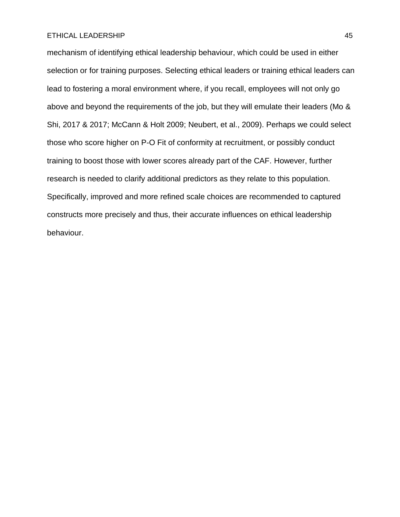mechanism of identifying ethical leadership behaviour, which could be used in either selection or for training purposes. Selecting ethical leaders or training ethical leaders can lead to fostering a moral environment where, if you recall, employees will not only go above and beyond the requirements of the job, but they will emulate their leaders (Mo & Shi, 2017 & 2017; McCann & Holt 2009; Neubert, et al., 2009). Perhaps we could select those who score higher on P-O Fit of conformity at recruitment, or possibly conduct training to boost those with lower scores already part of the CAF. However, further research is needed to clarify additional predictors as they relate to this population. Specifically, improved and more refined scale choices are recommended to captured constructs more precisely and thus, their accurate influences on ethical leadership behaviour.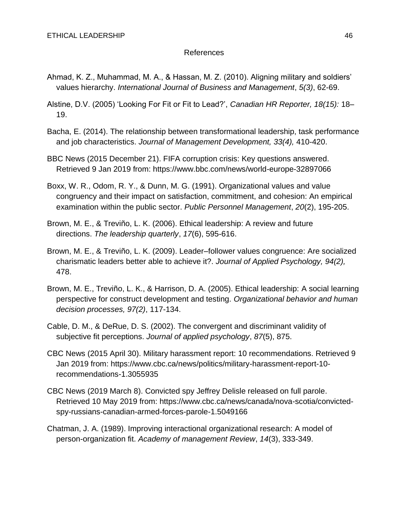## References

- Ahmad, K. Z., Muhammad, M. A., & Hassan, M. Z. (2010). Aligning military and soldiers' values hierarchy. *International Journal of Business and Management*, *5(3)*, 62-69.
- Alstine, D.V. (2005) 'Looking For Fit or Fit to Lead?', *Canadian HR Reporter, 18(15):* 18– 19.
- Bacha, E. (2014). The relationship between transformational leadership, task performance and job characteristics. *Journal of Management Development, 33(4),* 410-420.
- BBC News (2015 December 21). FIFA corruption crisis: Key questions answered. Retrieved 9 Jan 2019 from: https://www.bbc.com/news/world-europe-32897066
- Boxx, W. R., Odom, R. Y., & Dunn, M. G. (1991). Organizational values and value congruency and their impact on satisfaction, commitment, and cohesion: An empirical examination within the public sector. *Public Personnel Management*, *20*(2), 195-205.
- Brown, M. E., & Treviño, L. K. (2006). Ethical leadership: A review and future directions. *The leadership quarterly*, *17*(6), 595-616.
- Brown, M. E., & Treviño, L. K. (2009). Leader–follower values congruence: Are socialized charismatic leaders better able to achieve it?. *Journal of Applied Psychology, 94(2),* 478.
- Brown, M. E., Treviño, L. K., & Harrison, D. A. (2005). Ethical leadership: A social learning perspective for construct development and testing. *Organizational behavior and human decision processes, 97(2)*, 117-134.
- Cable, D. M., & DeRue, D. S. (2002). The convergent and discriminant validity of subjective fit perceptions. *Journal of applied psychology*, *87*(5), 875.
- CBC News (2015 April 30). Military harassment report: 10 recommendations. Retrieved 9 Jan 2019 from: https://www.cbc.ca/news/politics/military-harassment-report-10 recommendations-1.3055935
- CBC News (2019 March 8). Convicted spy Jeffrey Delisle released on full parole. Retrieved 10 May 2019 from: https://www.cbc.ca/news/canada/nova-scotia/convictedspy-russians-canadian-armed-forces-parole-1.5049166
- Chatman, J. A. (1989). Improving interactional organizational research: A model of person-organization fit. *Academy of management Review*, *14*(3), 333-349.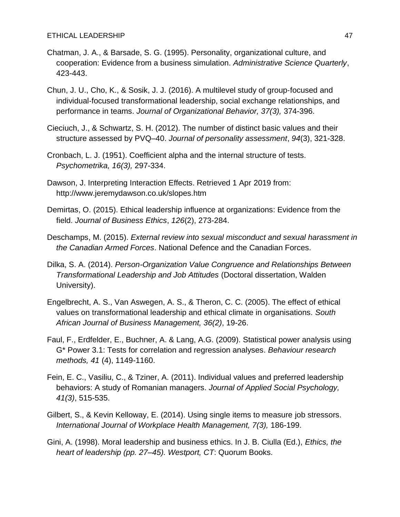- Chatman, J. A., & Barsade, S. G. (1995). Personality, organizational culture, and cooperation: Evidence from a business simulation. *Administrative Science Quarterly*, 423-443.
- Chun, J. U., Cho, K., & Sosik, J. J. (2016). A multilevel study of group‐focused and individual‐focused transformational leadership, social exchange relationships, and performance in teams. *Journal of Organizational Behavior, 37(3),* 374-396.
- Cieciuch, J., & Schwartz, S. H. (2012). The number of distinct basic values and their structure assessed by PVQ–40. *Journal of personality assessment*, *94*(3), 321-328.
- Cronbach, L. J. (1951). Coefficient alpha and the internal structure of tests. *Psychometrika, 16(3),* 297-334.
- Dawson, J. Interpreting Interaction Effects. Retrieved 1 Apr 2019 from: http://www.jeremydawson.co.uk/slopes.htm
- Demirtas, O. (2015). Ethical leadership influence at organizations: Evidence from the field. *Journal of Business Ethics*, *126*(2), 273-284.
- Deschamps, M. (2015). *External review into sexual misconduct and sexual harassment in the Canadian Armed Forces*. National Defence and the Canadian Forces.
- Dilka, S. A. (2014). *Person-Organization Value Congruence and Relationships Between Transformational Leadership and Job Attitudes* (Doctoral dissertation, Walden University).
- Engelbrecht, A. S., Van Aswegen, A. S., & Theron, C. C. (2005). The effect of ethical values on transformational leadership and ethical climate in organisations. *South African Journal of Business Management, 36(2)*, 19-26.
- Faul, F., Erdfelder, E., Buchner, A. & Lang, A.G. (2009). Statistical power analysis using G\* Power 3.1: Tests for correlation and regression analyses. *Behaviour research methods, 41* (4), 1149-1160.
- Fein, E. C., Vasiliu, C., & Tziner, A. (2011). Individual values and preferred leadership behaviors: A study of Romanian managers. *Journal of Applied Social Psychology, 41(3)*, 515-535.
- Gilbert, S., & Kevin Kelloway, E. (2014). Using single items to measure job stressors. *International Journal of Workplace Health Management, 7(3),* 186-199.
- Gini, A. (1998). Moral leadership and business ethics. In J. B. Ciulla (Ed.), *Ethics, the heart of leadership (pp. 27–45). Westport, CT*: Quorum Books.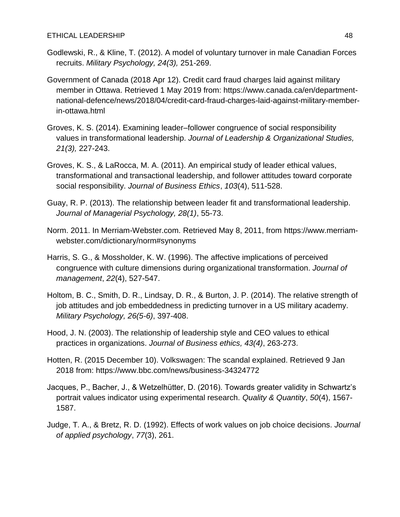- Godlewski, R., & Kline, T. (2012). A model of voluntary turnover in male Canadian Forces recruits. *Military Psychology, 24(3),* 251-269.
- Government of Canada (2018 Apr 12). Credit card fraud charges laid against military member in Ottawa. Retrieved 1 May 2019 from: https://www.canada.ca/en/departmentnational-defence/news/2018/04/credit-card-fraud-charges-laid-against-military-memberin-ottawa.html
- Groves, K. S. (2014). Examining leader–follower congruence of social responsibility values in transformational leadership. *Journal of Leadership & Organizational Studies, 21(3),* 227-243.
- Groves, K. S., & LaRocca, M. A. (2011). An empirical study of leader ethical values, transformational and transactional leadership, and follower attitudes toward corporate social responsibility. *Journal of Business Ethics*, *103*(4), 511-528.
- Guay, R. P. (2013). The relationship between leader fit and transformational leadership. *Journal of Managerial Psychology, 28(1)*, 55-73.
- Norm. 2011. In Merriam-Webster.com. Retrieved May 8, 2011, from https://www.merriamwebster.com/dictionary/norm#synonyms
- Harris, S. G., & Mossholder, K. W. (1996). The affective implications of perceived congruence with culture dimensions during organizational transformation. *Journal of management*, *22*(4), 527-547.
- Holtom, B. C., Smith, D. R., Lindsay, D. R., & Burton, J. P. (2014). The relative strength of job attitudes and job embeddedness in predicting turnover in a US military academy. *Military Psychology, 26(5-6)*, 397-408.
- Hood, J. N. (2003). The relationship of leadership style and CEO values to ethical practices in organizations. *Journal of Business ethics, 43(4)*, 263-273.
- Hotten, R. (2015 December 10). Volkswagen: The scandal explained. Retrieved 9 Jan 2018 from: https://www.bbc.com/news/business-34324772
- Jacques, P., Bacher, J., & Wetzelhütter, D. (2016). Towards greater validity in Schwartz's portrait values indicator using experimental research. *Quality & Quantity*, *50*(4), 1567- 1587.
- Judge, T. A., & Bretz, R. D. (1992). Effects of work values on job choice decisions. *Journal of applied psychology*, *77*(3), 261.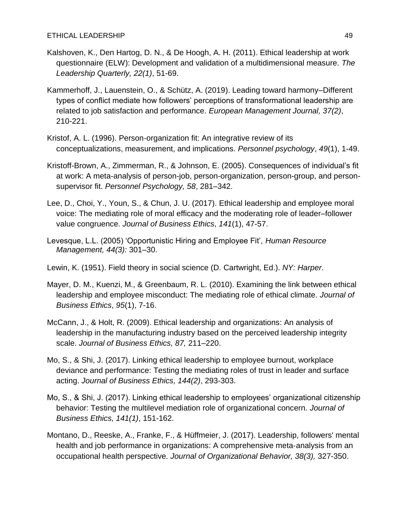- Kalshoven, K., Den Hartog, D. N., & De Hoogh, A. H. (2011). Ethical leadership at work questionnaire (ELW): Development and validation of a multidimensional measure. *The Leadership Quarterly, 22(1)*, 51-69.
- Kammerhoff, J., Lauenstein, O., & Schütz, A. (2019). Leading toward harmony–Different types of conflict mediate how followers' perceptions of transformational leadership are related to job satisfaction and performance. *European Management Journal, 37(2)*, 210-221.
- Kristof, A. L. (1996). Person‐organization fit: An integrative review of its conceptualizations, measurement, and implications. *Personnel psychology*, *49*(1), 1-49.
- Kristoff-Brown, A., Zimmerman, R., & Johnson, E. (2005). Consequences of individual's fit at work: A meta-analysis of person-job, person-organization, person-group, and personsupervisor fit. *Personnel Psychology, 58*, 281–342.
- Lee, D., Choi, Y., Youn, S., & Chun, J. U. (2017). Ethical leadership and employee moral voice: The mediating role of moral efficacy and the moderating role of leader–follower value congruence. *Journal of Business Ethics*, *141*(1), 47-57.
- Levesque, L.L. (2005) 'Opportunistic Hiring and Employee Fit', *Human Resource Management, 44(3):* 301–30.
- Lewin, K. (1951). Field theory in social science (D. Cartwright, Ed.). *NY: Harper*.
- Mayer, D. M., Kuenzi, M., & Greenbaum, R. L. (2010). Examining the link between ethical leadership and employee misconduct: The mediating role of ethical climate. *Journal of Business Ethics*, *95*(1), 7-16.
- McCann, J., & Holt, R. (2009). Ethical leadership and organizations: An analysis of leadership in the manufacturing industry based on the perceived leadership integrity scale. *Journal of Business Ethics, 87,* 211–220.
- Mo, S., & Shi, J. (2017). Linking ethical leadership to employee burnout, workplace deviance and performance: Testing the mediating roles of trust in leader and surface acting. *Journal of Business Ethics, 144(2)*, 293-303.
- Mo, S., & Shi, J. (2017). Linking ethical leadership to employees' organizational citizenship behavior: Testing the multilevel mediation role of organizational concern. *Journal of Business Ethics, 141(1)*, 151-162.
- Montano, D., Reeske, A., Franke, F., & Hüffmeier, J. (2017). Leadership, followers' mental health and job performance in organizations: A comprehensive meta-analysis from an occupational health perspective*. Journal of Organizational Behavior, 38(3),* 327-350.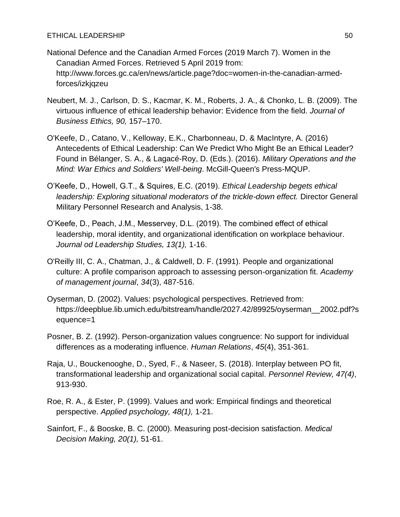- National Defence and the Canadian Armed Forces (2019 March 7). Women in the Canadian Armed Forces. Retrieved 5 April 2019 from: http://www.forces.gc.ca/en/news/article.page?doc=women-in-the-canadian-armedforces/izkjqzeu
- Neubert, M. J., Carlson, D. S., Kacmar, K. M., Roberts, J. A., & Chonko, L. B. (2009). The virtuous influence of ethical leadership behavior: Evidence from the field. *Journal of Business Ethics, 90,* 157–170.
- O'Keefe, D., Catano, V., Kelloway, E.K., Charbonneau, D. & MacIntyre, A. (2016) Antecedents of Ethical Leadership: Can We Predict Who Might Be an Ethical Leader? Found in Bélanger, S. A., & Lagacé-Roy, D. (Eds.). (2016). *Military Operations and the Mind: War Ethics and Soldiers' Well-being*. McGill-Queen's Press-MQUP.
- O'Keefe, D., Howell, G.T., & Squires, E.C. (2019). *Ethical Leadership begets ethical leadership: Exploring situational moderators of the trickle-down effect.* Director General Military Personnel Research and Analysis, 1-38.
- O'Keefe, D., Peach, J.M., Messervey, D.L. (2019). The combined effect of ethical leadership, moral identity, and organizational identification on workplace behaviour. *Journal od Leadership Studies, 13(1),* 1-16.
- O'Reilly III, C. A., Chatman, J., & Caldwell, D. F. (1991). People and organizational culture: A profile comparison approach to assessing person-organization fit. *Academy of management journal*, *34*(3), 487-516.
- Oyserman, D. (2002). Values: psychological perspectives. Retrieved from: https://deepblue.lib.umich.edu/bitstream/handle/2027.42/89925/oyserman\_\_2002.pdf?s equence=1
- Posner, B. Z. (1992). Person-organization values congruence: No support for individual differences as a moderating influence. *Human Relations*, *45*(4), 351-361.
- Raja, U., Bouckenooghe, D., Syed, F., & Naseer, S. (2018). Interplay between PO fit, transformational leadership and organizational social capital. *Personnel Review, 47(4)*, 913-930.
- Roe, R. A., & Ester, P. (1999). Values and work: Empirical findings and theoretical perspective. *Applied psychology, 48(1),* 1-21.
- Sainfort, F., & Booske, B. C. (2000). Measuring post-decision satisfaction. *Medical Decision Making, 20(1),* 51-61.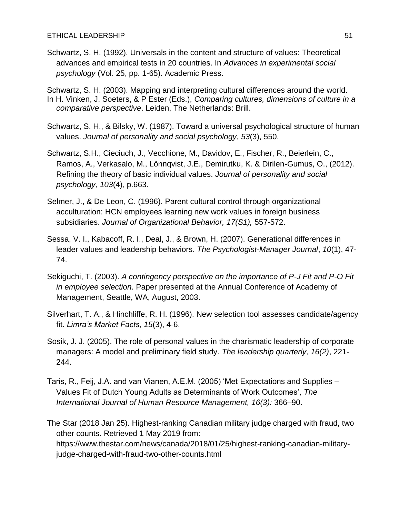Schwartz, S. H. (1992). Universals in the content and structure of values: Theoretical advances and empirical tests in 20 countries. In *Advances in experimental social psychology* (Vol. 25, pp. 1-65). Academic Press.

Schwartz, S. H. (2003). Mapping and interpreting cultural differences around the world. In H. Vinken, J. Soeters, & P Ester (Eds.), *Comparing cultures, dimensions of culture in a comparative perspective*. Leiden, The Netherlands: Brill.

- Schwartz, S. H., & Bilsky, W. (1987). Toward a universal psychological structure of human values. *Journal of personality and social psychology*, *53*(3), 550.
- Schwartz, S.H., Cieciuch, J., Vecchione, M., Davidov, E., Fischer, R., Beierlein, C., Ramos, A., Verkasalo, M., Lönnqvist, J.E., Demirutku, K. & Dirilen-Gumus, O., (2012). Refining the theory of basic individual values. *Journal of personality and social psychology*, *103*(4), p.663.
- Selmer, J., & De Leon, C. (1996). Parent cultural control through organizational acculturation: HCN employees learning new work values in foreign business subsidiaries. *Journal of Organizational Behavior, 17(S1),* 557-572.
- Sessa, V. I., Kabacoff, R. I., Deal, J., & Brown, H. (2007). Generational differences in leader values and leadership behaviors. *The Psychologist-Manager Journal*, *10*(1), 47- 74.
- Sekiguchi, T. (2003). *A contingency perspective on the importance of P-J Fit and P-O Fit in employee selection.* Paper presented at the Annual Conference of Academy of Management, Seattle, WA, August, 2003.
- Silverhart, T. A., & Hinchliffe, R. H. (1996). New selection tool assesses candidate/agency fit. *Limra's Market Facts*, *15*(3), 4-6.
- Sosik, J. J. (2005). The role of personal values in the charismatic leadership of corporate managers: A model and preliminary field study. *The leadership quarterly, 16(2)*, 221- 244.
- Taris, R., Feij, J.A. and van Vianen, A.E.M. (2005) 'Met Expectations and Supplies Values Fit of Dutch Young Adults as Determinants of Work Outcomes', *The International Journal of Human Resource Management, 16(3):* 366–90.

The Star (2018 Jan 25). Highest-ranking Canadian military judge charged with fraud, two other counts. Retrieved 1 May 2019 from: https://www.thestar.com/news/canada/2018/01/25/highest-ranking-canadian-militaryjudge-charged-with-fraud-two-other-counts.html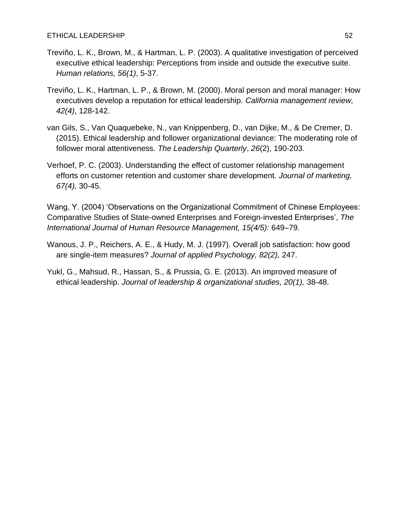- Treviño, L. K., Brown, M., & Hartman, L. P. (2003). A qualitative investigation of perceived executive ethical leadership: Perceptions from inside and outside the executive suite. *Human relations, 56(1)*, 5-37.
- Treviño, L. K., Hartman, L. P., & Brown, M. (2000). Moral person and moral manager: How executives develop a reputation for ethical leadership. *California management review, 42(4)*, 128-142.
- van Gils, S., Van Quaquebeke, N., van Knippenberg, D., van Dijke, M., & De Cremer, D. (2015). Ethical leadership and follower organizational deviance: The moderating role of follower moral attentiveness. *The Leadership Quarterly*, *26*(2), 190-203.
- Verhoef, P. C. (2003). Understanding the effect of customer relationship management efforts on customer retention and customer share development. *Journal of marketing, 67(4),* 30-45.

Wang, Y. (2004) 'Observations on the Organizational Commitment of Chinese Employees: Comparative Studies of State-owned Enterprises and Foreign-invested Enterprises', *The International Journal of Human Resource Management, 15(4/5):* 649–79.

- Wanous, J. P., Reichers, A. E., & Hudy, M. J. (1997). Overall job satisfaction: how good are single-item measures? *Journal of applied Psychology, 82(2),* 247.
- Yukl, G., Mahsud, R., Hassan, S., & Prussia, G. E. (2013). An improved measure of ethical leadership. *Journal of leadership & organizational studies, 20(1),* 38-48.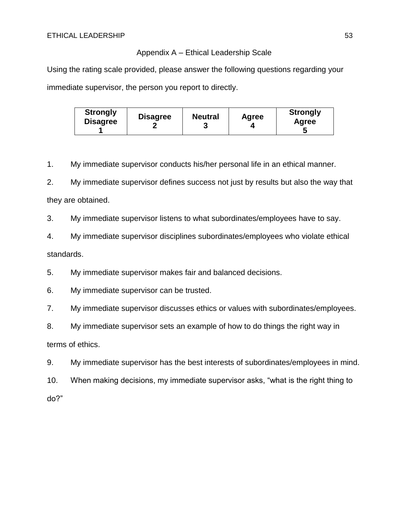## Appendix A – Ethical Leadership Scale

Using the rating scale provided, please answer the following questions regarding your immediate supervisor, the person you report to directly.

| <b>Strongly</b><br><b>Disagree</b> | <b>Disagree</b> | <b>Neutral</b> | Agree | <b>Strongly</b><br>Agree<br>N |
|------------------------------------|-----------------|----------------|-------|-------------------------------|
|------------------------------------|-----------------|----------------|-------|-------------------------------|

1. My immediate supervisor conducts his/her personal life in an ethical manner.

2. My immediate supervisor defines success not just by results but also the way that they are obtained.

3. My immediate supervisor listens to what subordinates/employees have to say.

4. My immediate supervisor disciplines subordinates/employees who violate ethical standards.

5. My immediate supervisor makes fair and balanced decisions.

6. My immediate supervisor can be trusted.

7. My immediate supervisor discusses ethics or values with subordinates/employees.

8. My immediate supervisor sets an example of how to do things the right way in terms of ethics.

9. My immediate supervisor has the best interests of subordinates/employees in mind.

10. When making decisions, my immediate supervisor asks, "what is the right thing to do?"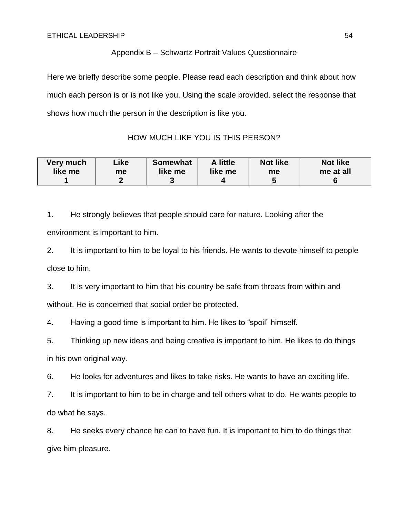## Appendix B – Schwartz Portrait Values Questionnaire

Here we briefly describe some people. Please read each description and think about how much each person is or is not like you. Using the scale provided, select the response that shows how much the person in the description is like you.

## HOW MUCH LIKE YOU IS THIS PERSON?

| Very much | ∟ike | <b>Somewhat</b> | A little | <b>Not like</b> | <b>Not like</b> |
|-----------|------|-----------------|----------|-----------------|-----------------|
| like me   | me   | like me         | like me  | me              | me at all       |
|           | n    |                 |          |                 |                 |

1. He strongly believes that people should care for nature. Looking after the environment is important to him.

2. It is important to him to be loyal to his friends. He wants to devote himself to people close to him.

3. It is very important to him that his country be safe from threats from within and without. He is concerned that social order be protected.

4. Having a good time is important to him. He likes to "spoil" himself.

5. Thinking up new ideas and being creative is important to him. He likes to do things in his own original way.

6. He looks for adventures and likes to take risks. He wants to have an exciting life.

7. It is important to him to be in charge and tell others what to do. He wants people to do what he says.

8. He seeks every chance he can to have fun. It is important to him to do things that give him pleasure.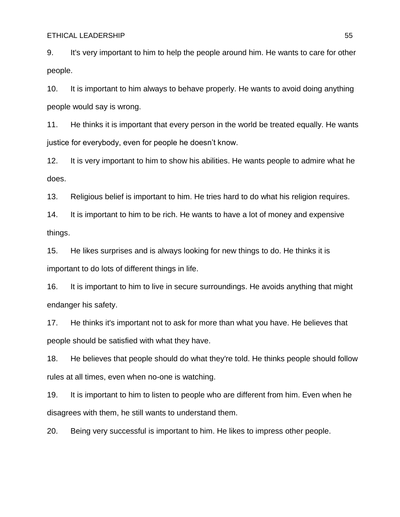9. It's very important to him to help the people around him. He wants to care for other people.

10. It is important to him always to behave properly. He wants to avoid doing anything people would say is wrong.

11. He thinks it is important that every person in the world be treated equally. He wants justice for everybody, even for people he doesn't know.

12. It is very important to him to show his abilities. He wants people to admire what he does.

13. Religious belief is important to him. He tries hard to do what his religion requires.

14. It is important to him to be rich. He wants to have a lot of money and expensive things.

15. He likes surprises and is always looking for new things to do. He thinks it is important to do lots of different things in life.

16. It is important to him to live in secure surroundings. He avoids anything that might endanger his safety.

17. He thinks it's important not to ask for more than what you have. He believes that people should be satisfied with what they have.

18. He believes that people should do what they're told. He thinks people should follow rules at all times, even when no-one is watching.

19. It is important to him to listen to people who are different from him. Even when he disagrees with them, he still wants to understand them.

20. Being very successful is important to him. He likes to impress other people.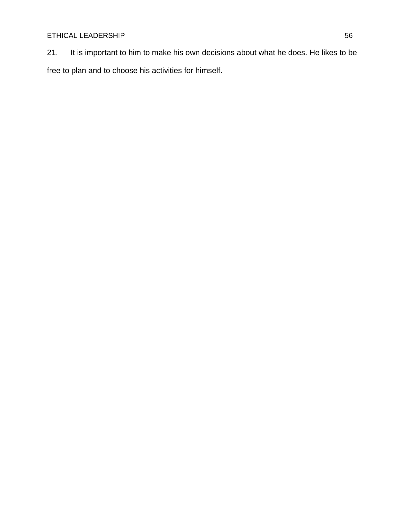21. It is important to him to make his own decisions about what he does. He likes to be free to plan and to choose his activities for himself.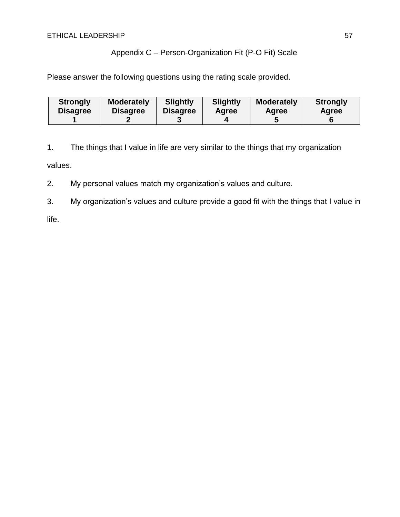## Appendix C – Person-Organization Fit (P-O Fit) Scale

Please answer the following questions using the rating scale provided.

| <b>Strongly</b> | <b>Moderately</b> | <b>Slightly</b> | <b>Slightly</b> | <b>Moderately</b> | <b>Strongly</b> |
|-----------------|-------------------|-----------------|-----------------|-------------------|-----------------|
| <b>Disagree</b> | <b>Disagree</b>   | <b>Disagree</b> | Agree           | Agree             | Agree           |
|                 |                   |                 |                 |                   |                 |

1. The things that I value in life are very similar to the things that my organization values.

2. My personal values match my organization's values and culture.

3. My organization's values and culture provide a good fit with the things that I value in

life.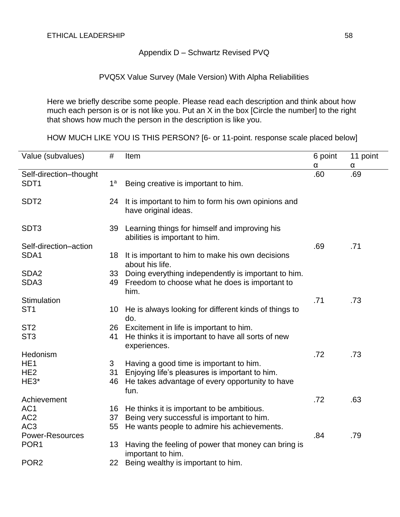## Appendix D – Schwartz Revised PVQ

## PVQ5X Value Survey (Male Version) With Alpha Reliabilities

Here we briefly describe some people. Please read each description and think about how much each person is or is not like you. Put an X in the box [Circle the number] to the right that shows how much the person in the description is like you.

HOW MUCH LIKE YOU IS THIS PERSON? [6- or 11-point. response scale placed below]

| Value (subvalues)<br>#             | Item                                                                        | 6 point | 11 point |
|------------------------------------|-----------------------------------------------------------------------------|---------|----------|
|                                    |                                                                             | α       | α        |
| Self-direction-thought             |                                                                             | .60     | .69      |
| SDT <sub>1</sub><br>1 <sup>a</sup> | Being creative is important to him.                                         |         |          |
|                                    |                                                                             |         |          |
| SDT <sub>2</sub><br>24             | It is important to him to form his own opinions and<br>have original ideas. |         |          |
| SDT <sub>3</sub>                   | 39 Learning things for himself and improving his                            |         |          |
|                                    | abilities is important to him.                                              |         |          |
| Self-direction-action              |                                                                             | .69     | .71      |
| SDA1<br>18                         | It is important to him to make his own decisions                            |         |          |
|                                    | about his life.                                                             |         |          |
| SDA <sub>2</sub><br>33             | Doing everything independently is important to him.                         |         |          |
| SDA3<br>49                         | Freedom to choose what he does is important to                              |         |          |
|                                    | him.                                                                        |         |          |
| Stimulation                        |                                                                             | .71     | .73      |
| ST <sub>1</sub><br>10              | He is always looking for different kinds of things to<br>do.                |         |          |
| ST <sub>2</sub>                    | 26 Excitement in life is important to him.                                  |         |          |
| ST <sub>3</sub><br>41              | He thinks it is important to have all sorts of new                          |         |          |
|                                    | experiences.                                                                |         |          |
| Hedonism                           |                                                                             | .72     | .73      |
| HE <sub>1</sub><br>3               | Having a good time is important to him.                                     |         |          |
| HE <sub>2</sub><br>31              | Enjoying life's pleasures is important to him.                              |         |          |
| HE3*<br>46                         | He takes advantage of every opportunity to have                             |         |          |
|                                    | fun.                                                                        |         |          |
| Achievement                        |                                                                             | .72     | .63      |
| AC <sub>1</sub>                    | 16 He thinks it is important to be ambitious.                               |         |          |
| AC <sub>2</sub><br>37              | Being very successful is important to him.                                  |         |          |
| AC <sub>3</sub><br>55              | He wants people to admire his achievements.                                 |         |          |
| <b>Power-Resources</b>             |                                                                             | .84     | .79      |
| POR <sub>1</sub><br>13             | Having the feeling of power that money can bring is<br>important to him.    |         |          |
| POR <sub>2</sub><br>22             | Being wealthy is important to him.                                          |         |          |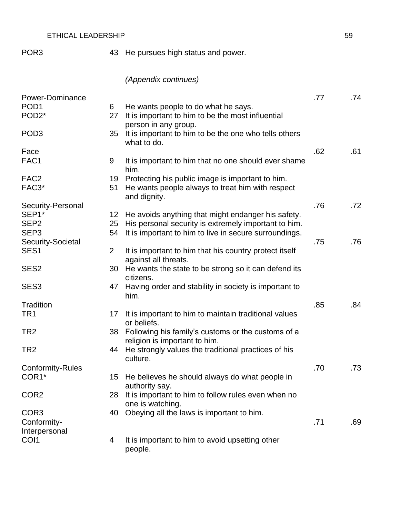POR3 43 He pursues high status and power.

# *(Appendix continues)*

| Power-Dominance              |                |                                                                                     | .77 | .74 |
|------------------------------|----------------|-------------------------------------------------------------------------------------|-----|-----|
| POD <sub>1</sub>             | 6              | He wants people to do what he says.                                                 |     |     |
| POD <sub>2</sub> *           | 27             | It is important to him to be the most influential<br>person in any group.           |     |     |
| POD <sub>3</sub>             | 35             | It is important to him to be the one who tells others<br>what to do.                |     |     |
| Face                         |                |                                                                                     | .62 | .61 |
| FAC1                         | 9              | It is important to him that no one should ever shame<br>him.                        |     |     |
| FAC <sub>2</sub>             | 19             | Protecting his public image is important to him.                                    |     |     |
| FAC <sub>3</sub> *           | 51             | He wants people always to treat him with respect<br>and dignity.                    |     |     |
| Security-Personal            |                |                                                                                     | .76 | .72 |
| SEP1*                        | 12             | He avoids anything that might endanger his safety.                                  |     |     |
| SEP <sub>2</sub>             | 25             | His personal security is extremely important to him.                                |     |     |
| SEP <sub>3</sub>             | 54             | It is important to him to live in secure surroundings.                              |     |     |
| Security-Societal            |                |                                                                                     | .75 | .76 |
| SES <sub>1</sub>             | $\overline{2}$ | It is important to him that his country protect itself<br>against all threats.      |     |     |
| SES <sub>2</sub>             | 30             | He wants the state to be strong so it can defend its<br>citizens.                   |     |     |
| SES <sub>3</sub>             | 47             | Having order and stability in society is important to<br>him.                       |     |     |
| <b>Tradition</b>             |                |                                                                                     | .85 | .84 |
| TR1                          | 17             | It is important to him to maintain traditional values<br>or beliefs.                |     |     |
| TR <sub>2</sub>              | 38             | Following his family's customs or the customs of a<br>religion is important to him. |     |     |
| TR <sub>2</sub>              | 44             | He strongly values the traditional practices of his<br>culture.                     |     |     |
| <b>Conformity-Rules</b>      |                |                                                                                     | .70 | .73 |
| COR1*                        | 15             | He believes he should always do what people in<br>authority say.                    |     |     |
| COR <sub>2</sub>             | 28             | It is important to him to follow rules even when no<br>one is watching.             |     |     |
| COR <sub>3</sub>             | 40             | Obeying all the laws is important to him.                                           |     |     |
| Conformity-<br>Interpersonal |                |                                                                                     | .71 | .69 |
| COI1                         | 4              | It is important to him to avoid upsetting other                                     |     |     |
|                              |                | people.                                                                             |     |     |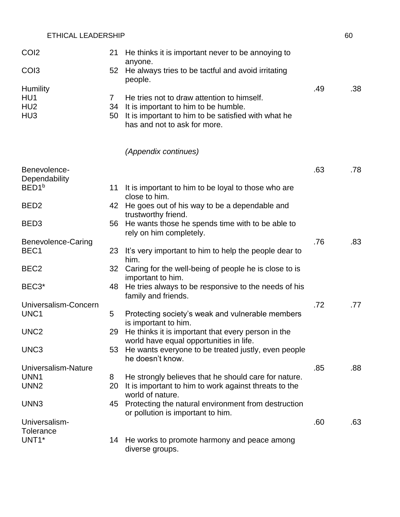| CO <sub>I2</sub>                                             | 21                       | He thinks it is important never to be annoying to<br>anyone.                                                                                                              |     |     |
|--------------------------------------------------------------|--------------------------|---------------------------------------------------------------------------------------------------------------------------------------------------------------------------|-----|-----|
| CO <sub>13</sub>                                             | 52                       | He always tries to be tactful and avoid irritating<br>people.                                                                                                             |     |     |
| <b>Humility</b><br>HU1<br>HU <sub>2</sub><br>HU <sub>3</sub> | $\mathbf{7}$<br>34<br>50 | He tries not to draw attention to himself.<br>It is important to him to be humble.<br>It is important to him to be satisfied with what he<br>has and not to ask for more. | .49 | .38 |
|                                                              |                          | (Appendix continues)                                                                                                                                                      |     |     |
| Benevolence-<br>Dependability                                |                          |                                                                                                                                                                           | .63 | .78 |
| BED <sub>1</sub> b                                           | 11                       | It is important to him to be loyal to those who are<br>close to him.                                                                                                      |     |     |
| BED <sub>2</sub>                                             | 42                       | He goes out of his way to be a dependable and<br>trustworthy friend.                                                                                                      |     |     |
| BED <sub>3</sub>                                             | 56                       | He wants those he spends time with to be able to<br>rely on him completely.                                                                                               |     |     |
| Benevolence-Caring<br>BEC <sub>1</sub>                       | 23                       | It's very important to him to help the people dear to<br>him.                                                                                                             | .76 | .83 |
| BEC <sub>2</sub>                                             | 32                       | Caring for the well-being of people he is close to is<br>important to him.                                                                                                |     |     |
| BEC <sub>3</sub> *                                           | 48                       | He tries always to be responsive to the needs of his<br>family and friends.                                                                                               |     |     |
| Universalism-Concern<br>UNC1                                 | 5                        | Protecting society's weak and vulnerable members<br>is important to him.                                                                                                  | .72 | .77 |
| UNC <sub>2</sub>                                             | 29                       | He thinks it is important that every person in the<br>world have equal opportunities in life.                                                                             |     |     |
| UNC <sub>3</sub>                                             | 53                       | He wants everyone to be treated justly, even people<br>he doesn't know.                                                                                                   |     |     |
| Universalism-Nature<br>UNN <sub>1</sub>                      | 8                        | He strongly believes that he should care for nature.                                                                                                                      | .85 | .88 |
| UNN <sub>2</sub>                                             | 20                       | It is important to him to work against threats to the<br>world of nature.                                                                                                 |     |     |
| UNN3                                                         | 45                       | Protecting the natural environment from destruction<br>or pollution is important to him.                                                                                  |     |     |
| Universalism-<br><b>Tolerance</b>                            |                          |                                                                                                                                                                           | .60 | .63 |
| UNT1*                                                        | 14                       | He works to promote harmony and peace among<br>diverse groups.                                                                                                            |     |     |